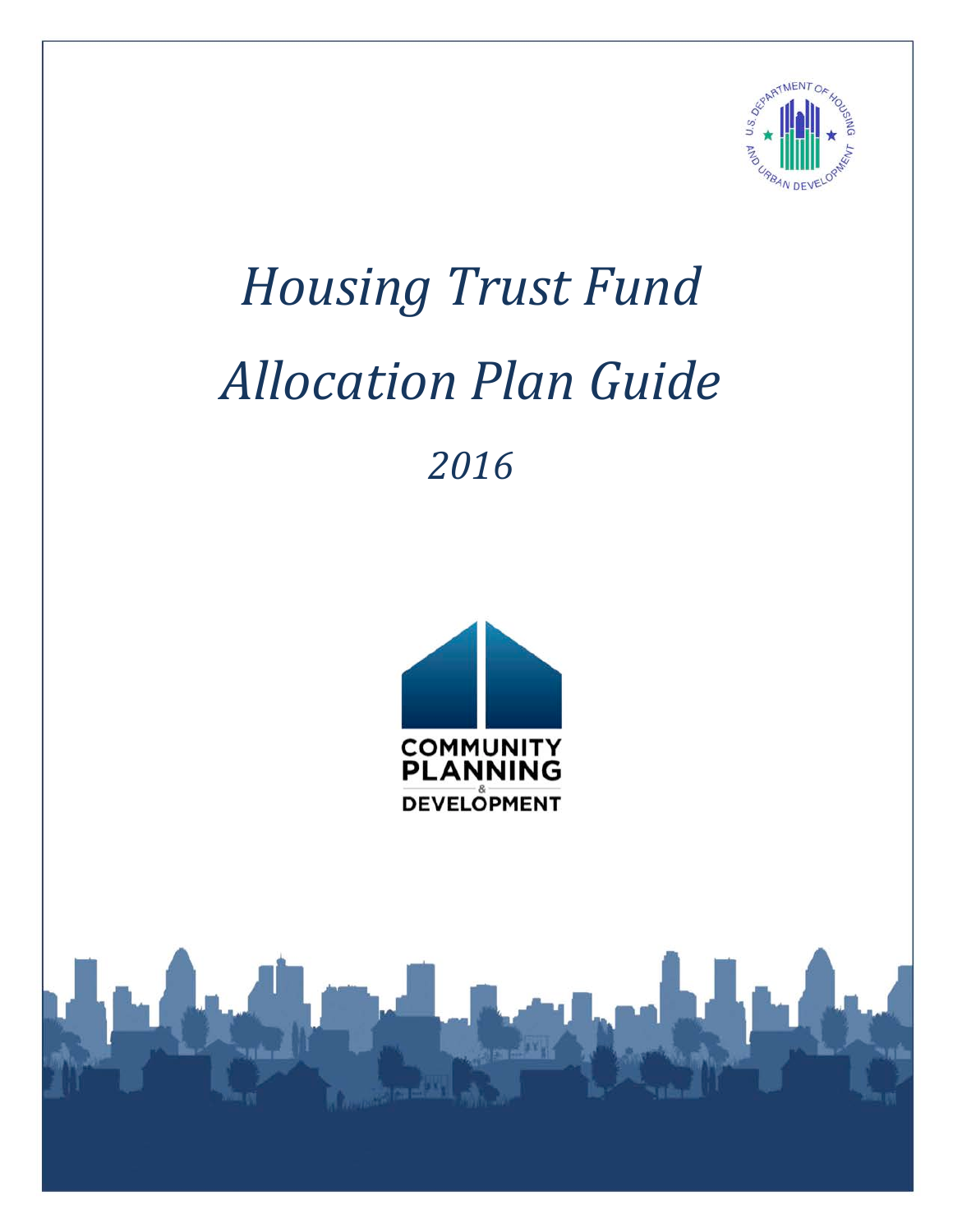

# *Housing Trust Fund Allocation Plan Guide 2016*



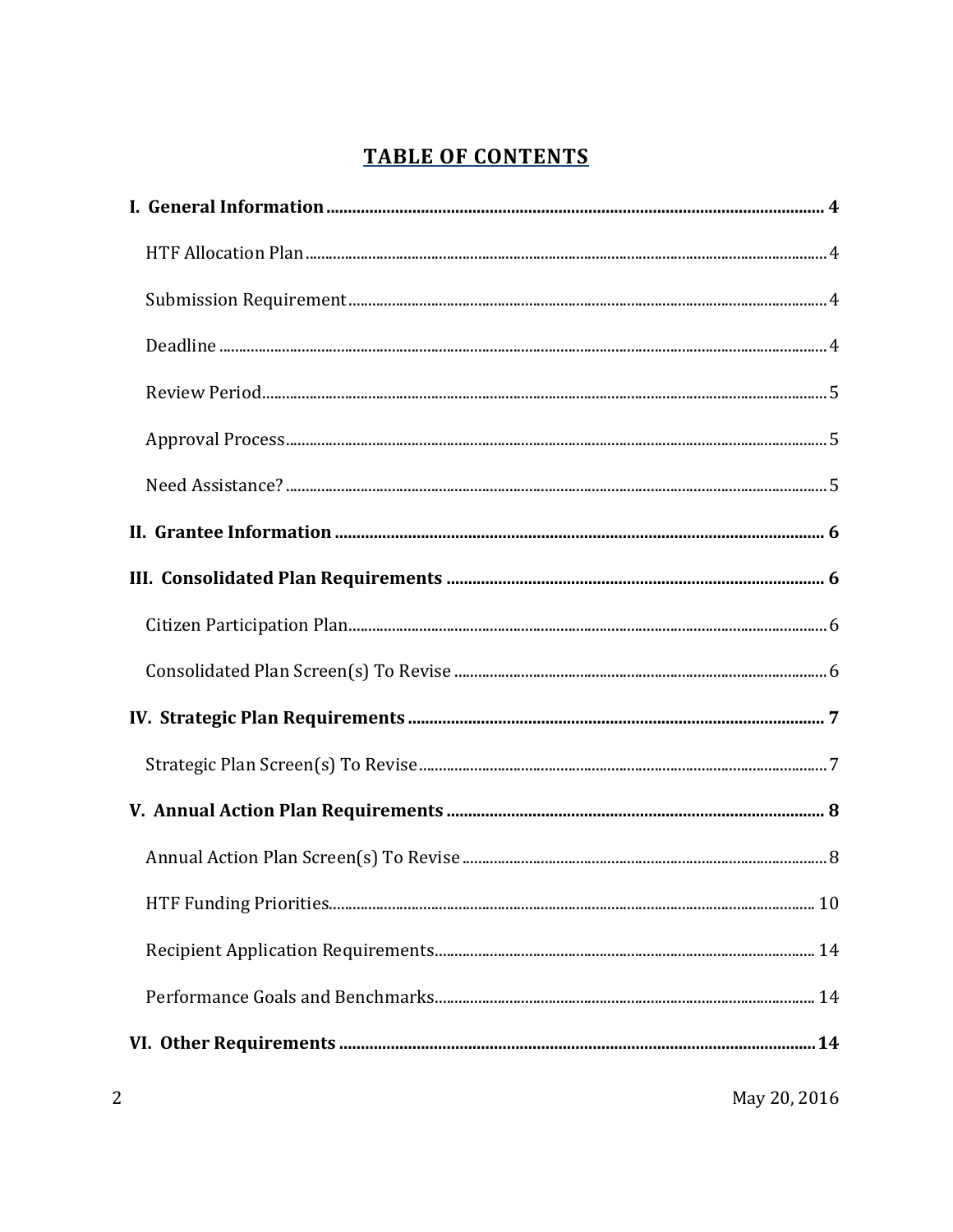# **TABLE OF CONTENTS**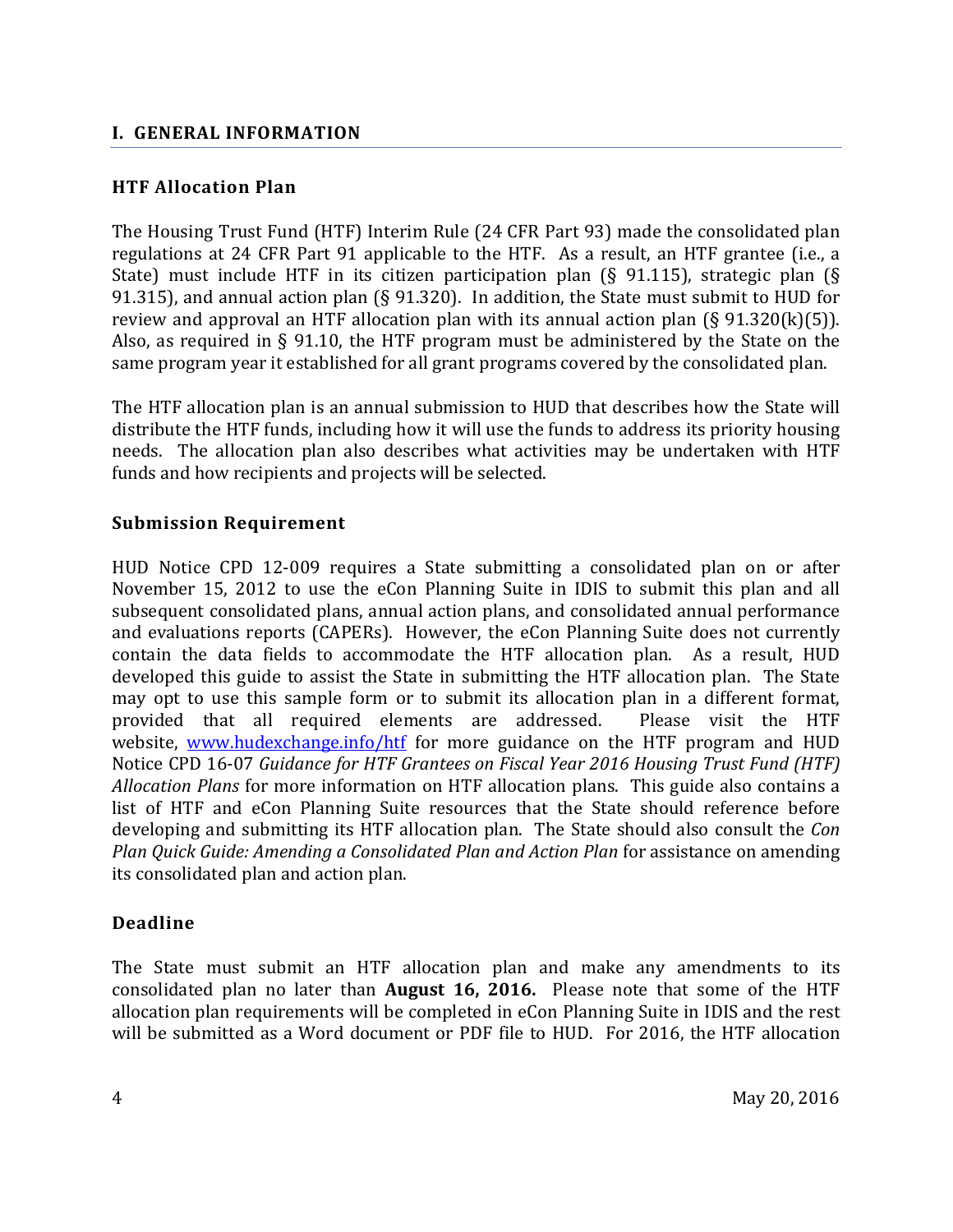#### <span id="page-3-1"></span><span id="page-3-0"></span>**I. GENERAL INFORMATION**

#### **HTF Allocation Plan**

The Housing Trust Fund (HTF) Interim Rule (24 CFR Part 93) made the consolidated plan regulations at 24 CFR Part 91 applicable to the HTF. As a result, an HTF grantee (i.e., a State) must include HTF in its citizen participation plan (§ 91.115), strategic plan (§ 91.315), and annual action plan (§ 91.320). In addition, the State must submit to HUD for review and approval an HTF allocation plan with its annual action plan  $(\S 91.320(k)(5))$ . Also, as required in § 91.10, the HTF program must be administered by the State on the same program year it established for all grant programs covered by the consolidated plan.

The HTF allocation plan is an annual submission to HUD that describes how the State will distribute the HTF funds, including how it will use the funds to address its priority housing needs. The allocation plan also describes what activities may be undertaken with HTF funds and how recipients and projects will be selected.

#### <span id="page-3-2"></span>**Submission Requirement**

HUD Notice CPD 12-009 requires a State submitting a consolidated plan on or after November 15, 2012 to use the eCon Planning Suite in IDIS to submit this plan and all subsequent consolidated plans, annual action plans, and consolidated annual performance and evaluations reports (CAPERs). However, the eCon Planning Suite does not currently contain the data fields to accommodate the HTF allocation plan. As a result, HUD developed this guide to assist the State in submitting the HTF allocation plan. The State may opt to use this sample form or to submit its allocation plan in a different format, provided that all required elements are addressed. Please visit the HTF provided that all required elements are addressed. website, [www.hudexchange.info/htf](http://www.hudexchange.info/htf) for more guidance on the HTF program and HUD Notice CPD 16-07 *Guidance for HTF Grantees on Fiscal Year 2016 Housing Trust Fund (HTF) Allocation Plans* for more information on HTF allocation plans. This guide also contains a list of HTF and eCon Planning Suite resources that the State should reference before developing and submitting its HTF allocation plan. The State should also consult the *Con Plan Quick Guide: Amending a Consolidated Plan and Action Plan* for assistance on amending its consolidated plan and action plan.

#### <span id="page-3-3"></span>**Deadline**

The State must submit an HTF allocation plan and make any amendments to its consolidated plan no later than **August 16, 2016.** Please note that some of the HTF allocation plan requirements will be completed in eCon Planning Suite in IDIS and the rest will be submitted as a Word document or PDF file to HUD. For 2016, the HTF allocation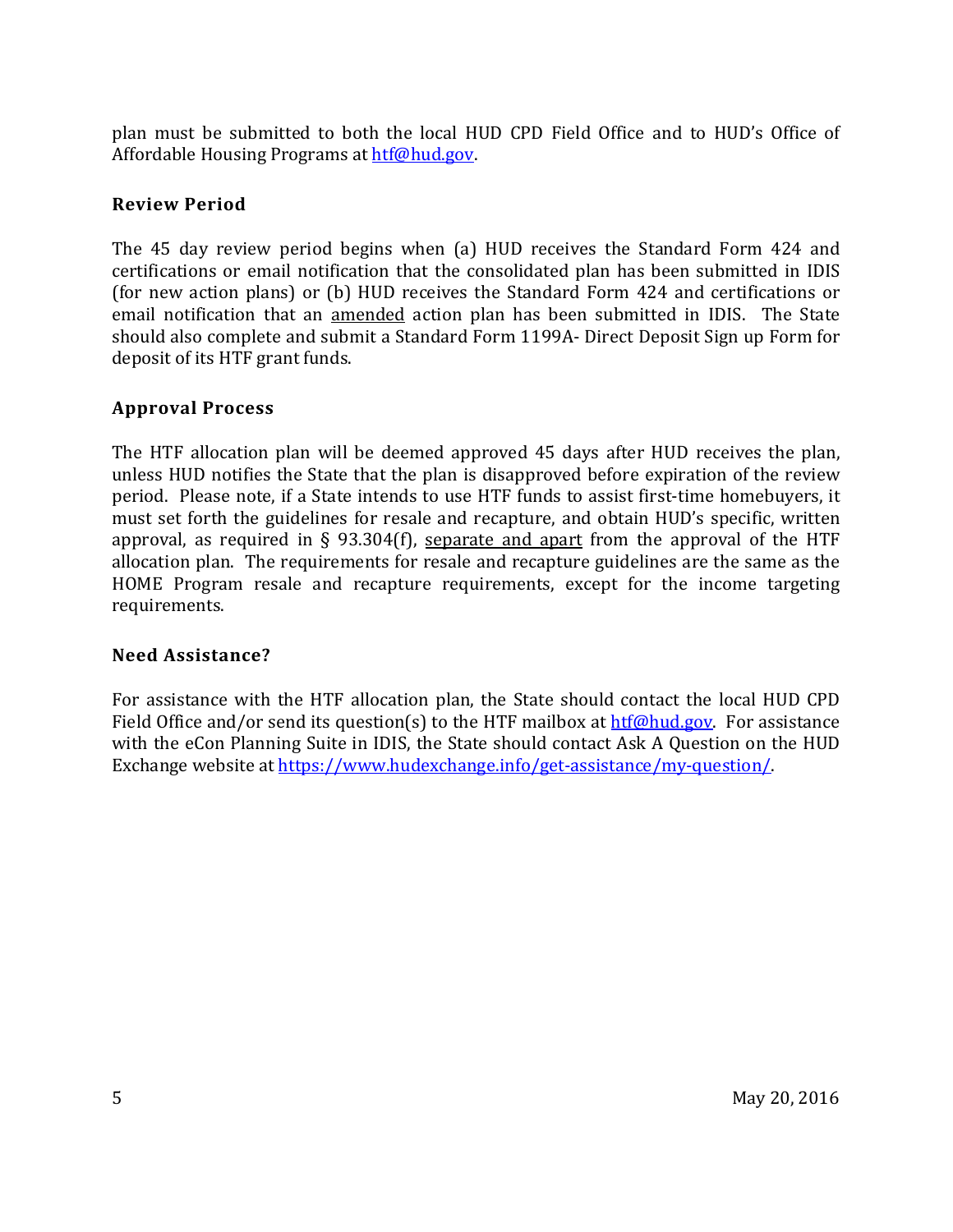plan must be submitted to both the local HUD CPD Field Office and to HUD's Office of Affordable Housing Programs at [htf@hud.gov.](mailto:htf@hud.gov)

#### <span id="page-4-0"></span>**Review Period**

The 45 day review period begins when (a) HUD receives the Standard Form 424 and certifications or email notification that the consolidated plan has been submitted in IDIS (for new action plans) or (b) HUD receives the Standard Form 424 and certifications or email notification that an amended action plan has been submitted in IDIS. The State should also complete and submit a Standard Form 1199A- Direct Deposit Sign up Form for deposit of its HTF grant funds.

#### <span id="page-4-1"></span>**Approval Process**

The HTF allocation plan will be deemed approved 45 days after HUD receives the plan, unless HUD notifies the State that the plan is disapproved before expiration of the review period. Please note, if a State intends to use HTF funds to assist first-time homebuyers, it must set forth the guidelines for resale and recapture, and obtain HUD's specific, written approval, as required in § 93.304(f), separate and apart from the approval of the HTF allocation plan. The requirements for resale and recapture guidelines are the same as the HOME Program resale and recapture requirements, except for the income targeting requirements.

#### <span id="page-4-2"></span>**Need Assistance?**

For assistance with the HTF allocation plan, the State should contact the local HUD CPD Field Office and/or send its question(s) to the HTF mailbox at [htf@hud.gov.](mailto:htf@hud.gov) For assistance with the eCon Planning Suite in IDIS, the State should contact Ask A Question on the HUD Exchange website at [https://www.hudexchange.info/get-assistance/my-question/.](https://www.hudexchange.info/get-assistance/my-question/)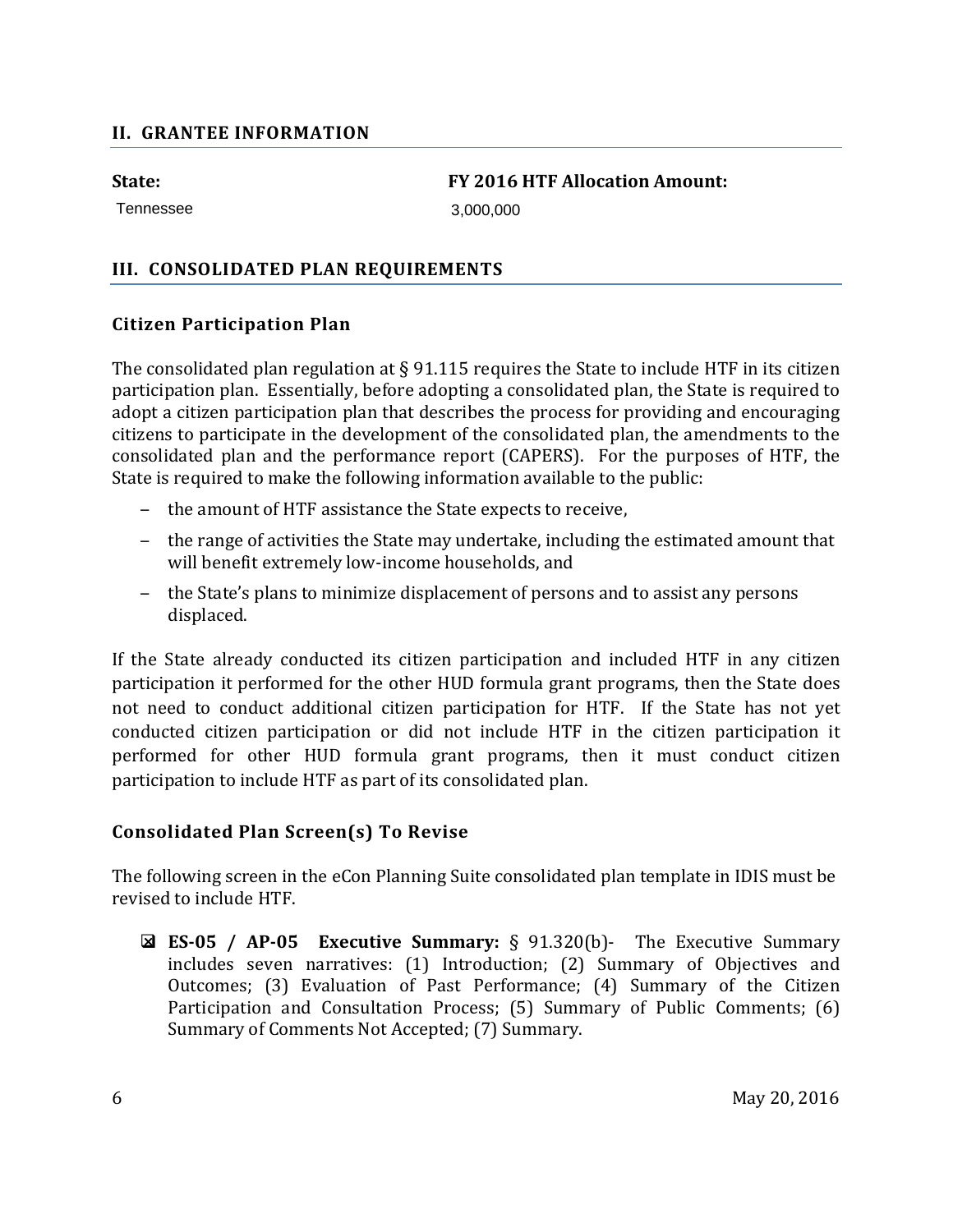#### <span id="page-5-0"></span>**II. GRANTEE INFORMATION**

Tennessee 3,000,000

**State: FY 2016 HTF Allocation Amount:** 

#### <span id="page-5-2"></span><span id="page-5-1"></span>**III. CONSOLIDATED PLAN REQUIREMENTS**

#### **Citizen Participation Plan**

The consolidated plan regulation at  $\S$  91.115 requires the State to include HTF in its citizen participation plan. Essentially, before adopting a consolidated plan, the State is required to adopt a citizen participation plan that describes the process for providing and encouraging citizens to participate in the development of the consolidated plan, the amendments to the consolidated plan and the performance report (CAPERS). For the purposes of HTF, the State is required to make the following information available to the public:

- ‒ the amount of HTF assistance the State expects to receive,
- ‒ the range of activities the State may undertake, including the estimated amount that will benefit extremely low-income households, and
- the State's plans to minimize displacement of persons and to assist any persons displaced.

If the State already conducted its citizen participation and included HTF in any citizen participation it performed for the other HUD formula grant programs, then the State does not need to conduct additional citizen participation for HTF. If the State has not yet conducted citizen participation or did not include HTF in the citizen participation it performed for other HUD formula grant programs, then it must conduct citizen participation to include HTF as part of its consolidated plan.

#### <span id="page-5-3"></span>**Consolidated Plan Screen(s) To Revise**

The following screen in the eCon Planning Suite consolidated plan template in IDIS must be revised to include HTF.

 **ES-05 / AP-05 Executive Summary:** § 91.320(b)- The Executive Summary includes seven narratives: (1) Introduction; (2) Summary of Objectives and Outcomes; (3) Evaluation of Past Performance; (4) Summary of the Citizen Participation and Consultation Process; (5) Summary of Public Comments; (6) Summary of Comments Not Accepted; (7) Summary.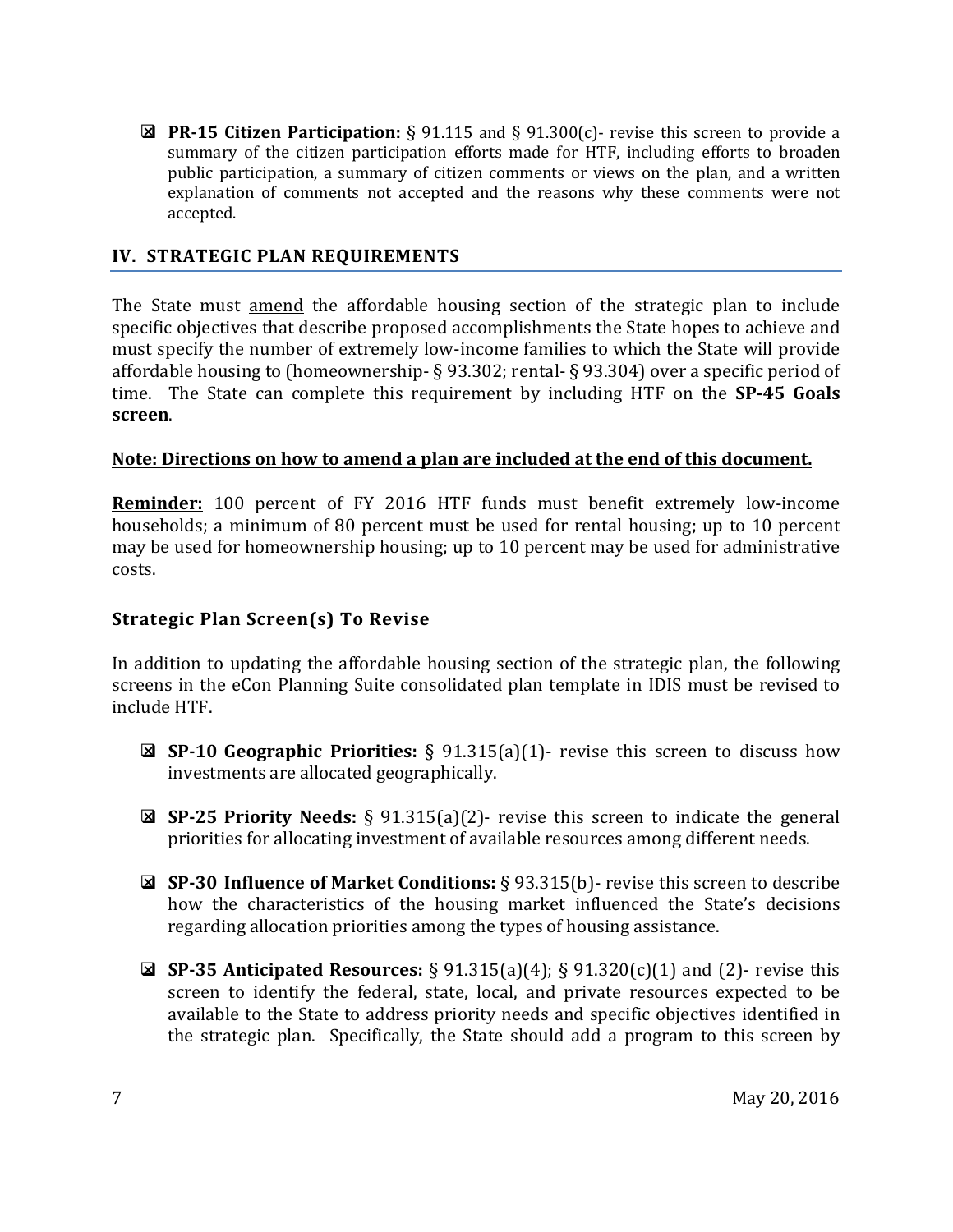**PR-15 Citizen Participation:** § 91.115 and § 91.300(c)- revise this screen to provide a summary of the citizen participation efforts made for HTF, including efforts to broaden public participation, a summary of citizen comments or views on the plan, and a written explanation of comments not accepted and the reasons why these comments were not accepted.

#### <span id="page-6-0"></span>**IV. STRATEGIC PLAN REQUIREMENTS**

The State must amend the affordable housing section of the strategic plan to include specific objectives that describe proposed accomplishments the State hopes to achieve and must specify the number of extremely low-income families to which the State will provide affordable housing to (homeownership- § 93.302; rental- § 93.304) over a specific period of time. The State can complete this requirement by including HTF on the **SP-45 Goals screen**.

#### **Note: Directions on how to amend a plan are included at the end of this document.**

**Reminder:** 100 percent of FY 2016 HTF funds must benefit extremely low-income households; a minimum of 80 percent must be used for rental housing; up to 10 percent may be used for homeownership housing; up to 10 percent may be used for administrative costs.

#### <span id="page-6-1"></span>**Strategic Plan Screen(s) To Revise**

In addition to updating the affordable housing section of the strategic plan, the following screens in the eCon Planning Suite consolidated plan template in IDIS must be revised to include HTF.

- **SP-10 Geographic Priorities:** § 91.315(a)(1)- revise this screen to discuss how investments are allocated geographically.
- **SP-25 Priority Needs:** § 91.315(a)(2)- revise this screen to indicate the general priorities for allocating investment of available resources among different needs.
- **SP-30 Influence of Market Conditions:** § 93.315(b)- revise this screen to describe how the characteristics of the housing market influenced the State's decisions regarding allocation priorities among the types of housing assistance.
- **SP-35 Anticipated Resources:** § 91.315(a)(4); § 91.320(c)(1) and (2)- revise this screen to identify the federal, state, local, and private resources expected to be available to the State to address priority needs and specific objectives identified in the strategic plan. Specifically, the State should add a program to this screen by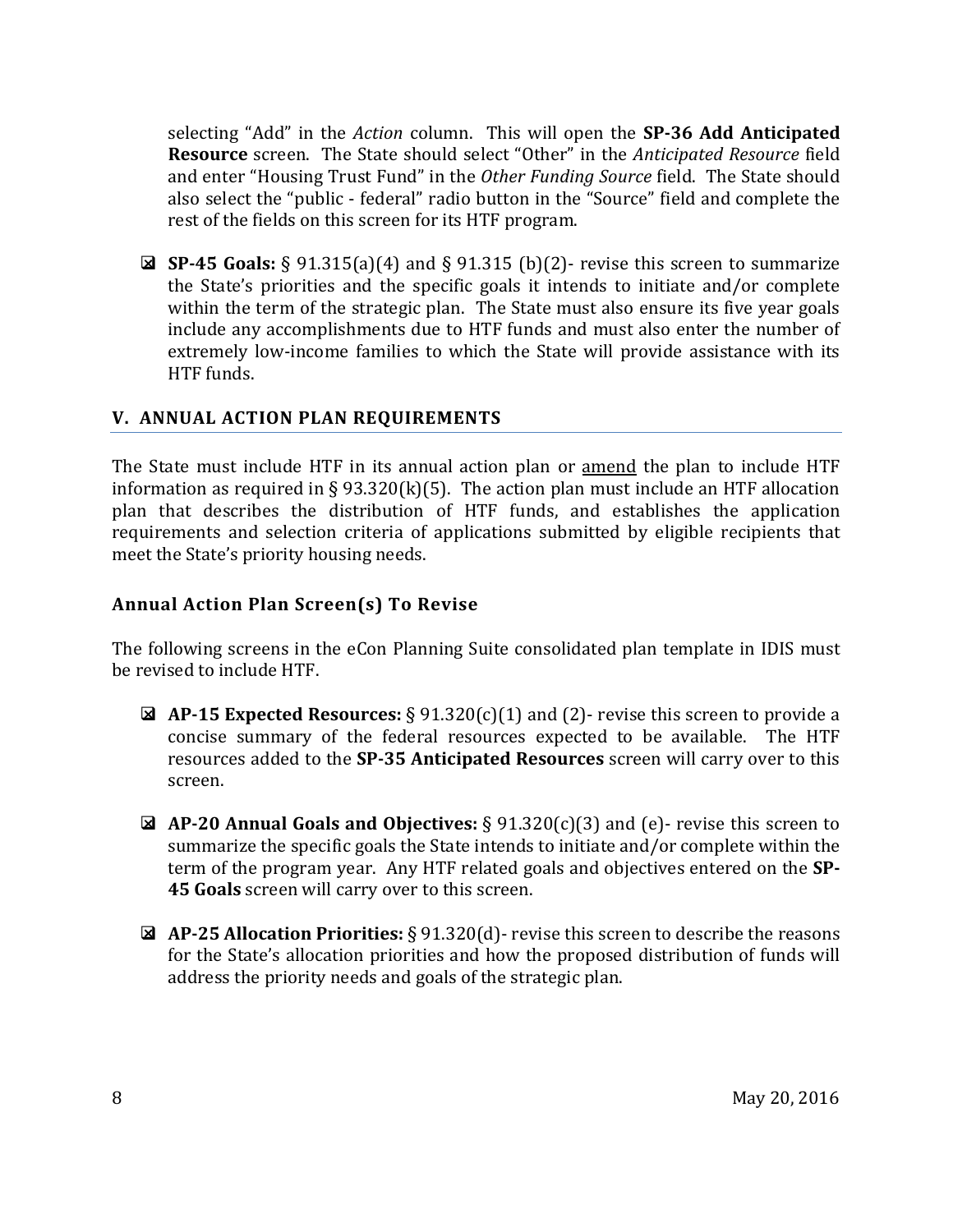selecting "Add" in the *Action* column. This will open the **SP-36 Add Anticipated Resource** screen. The State should select "Other" in the *Anticipated Resource* field and enter "Housing Trust Fund" in the *Other Funding Source* field. The State should also select the "public - federal" radio button in the "Source" field and complete the rest of the fields on this screen for its HTF program.

 **SP-45 Goals:** § 91.315(a)(4) and § 91.315 (b)(2)- revise this screen to summarize the State's priorities and the specific goals it intends to initiate and/or complete within the term of the strategic plan. The State must also ensure its five year goals include any accomplishments due to HTF funds and must also enter the number of extremely low-income families to which the State will provide assistance with its HTF funds.

#### <span id="page-7-0"></span>**V. ANNUAL ACTION PLAN REQUIREMENTS**

The State must include HTF in its annual action plan or amend the plan to include HTF information as required in § 93.320(k)(5). The action plan must include an HTF allocation plan that describes the distribution of HTF funds, and establishes the application requirements and selection criteria of applications submitted by eligible recipients that meet the State's priority housing needs.

#### <span id="page-7-1"></span>**Annual Action Plan Screen(s) To Revise**

The following screens in the eCon Planning Suite consolidated plan template in IDIS must be revised to include HTF.

- **AP-15 Expected Resources:** § 91.320(c)(1) and (2)- revise this screen to provide a concise summary of the federal resources expected to be available. The HTF resources added to the **SP-35 Anticipated Resources** screen will carry over to this screen.
- **AP-20 Annual Goals and Objectives:** § 91.320(c)(3) and (e)- revise this screen to summarize the specific goals the State intends to initiate and/or complete within the term of the program year. Any HTF related goals and objectives entered on the **SP-45 Goals** screen will carry over to this screen.
- **AP-25 Allocation Priorities:** § 91.320(d)- revise this screen to describe the reasons for the State's allocation priorities and how the proposed distribution of funds will address the priority needs and goals of the strategic plan.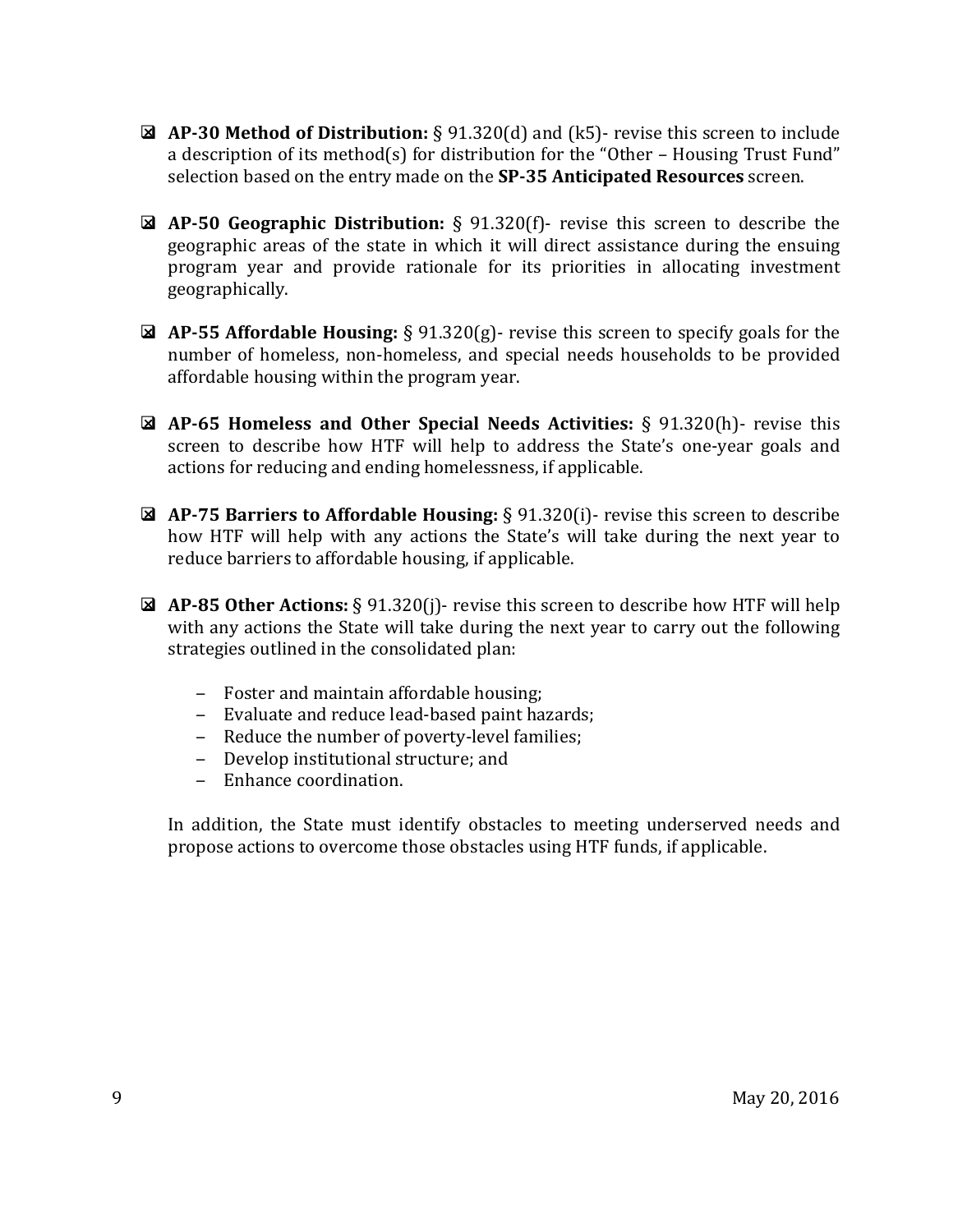- **AP-30 Method of Distribution:** § 91.320(d) and (k5)- revise this screen to include a description of its method(s) for distribution for the "Other – Housing Trust Fund" selection based on the entry made on the **SP-35 Anticipated Resources** screen.
- **AP-50 Geographic Distribution:** § 91.320(f)- revise this screen to describe the geographic areas of the state in which it will direct assistance during the ensuing program year and provide rationale for its priorities in allocating investment geographically.
- **AP-55 Affordable Housing:** § 91.320(g)- revise this screen to specify goals for the number of homeless, non-homeless, and special needs households to be provided affordable housing within the program year.
- **AP-65 Homeless and Other Special Needs Activities:** § 91.320(h)- revise this screen to describe how HTF will help to address the State's one-year goals and actions for reducing and ending homelessness, if applicable.
- **AP-75 Barriers to Affordable Housing:** § 91.320(i)- revise this screen to describe how HTF will help with any actions the State's will take during the next year to reduce barriers to affordable housing, if applicable.
- **AP-85 Other Actions:** § 91.320(j)- revise this screen to describe how HTF will help with any actions the State will take during the next year to carry out the following strategies outlined in the consolidated plan:
	- ‒ Foster and maintain affordable housing;
	- ‒ Evaluate and reduce lead-based paint hazards;
	- Reduce the number of poverty-level families;
	- ‒ Develop institutional structure; and
	- ‒ Enhance coordination.

<span id="page-8-0"></span>In addition, the State must identify obstacles to meeting underserved needs and propose actions to overcome those obstacles using HTF funds, if applicable.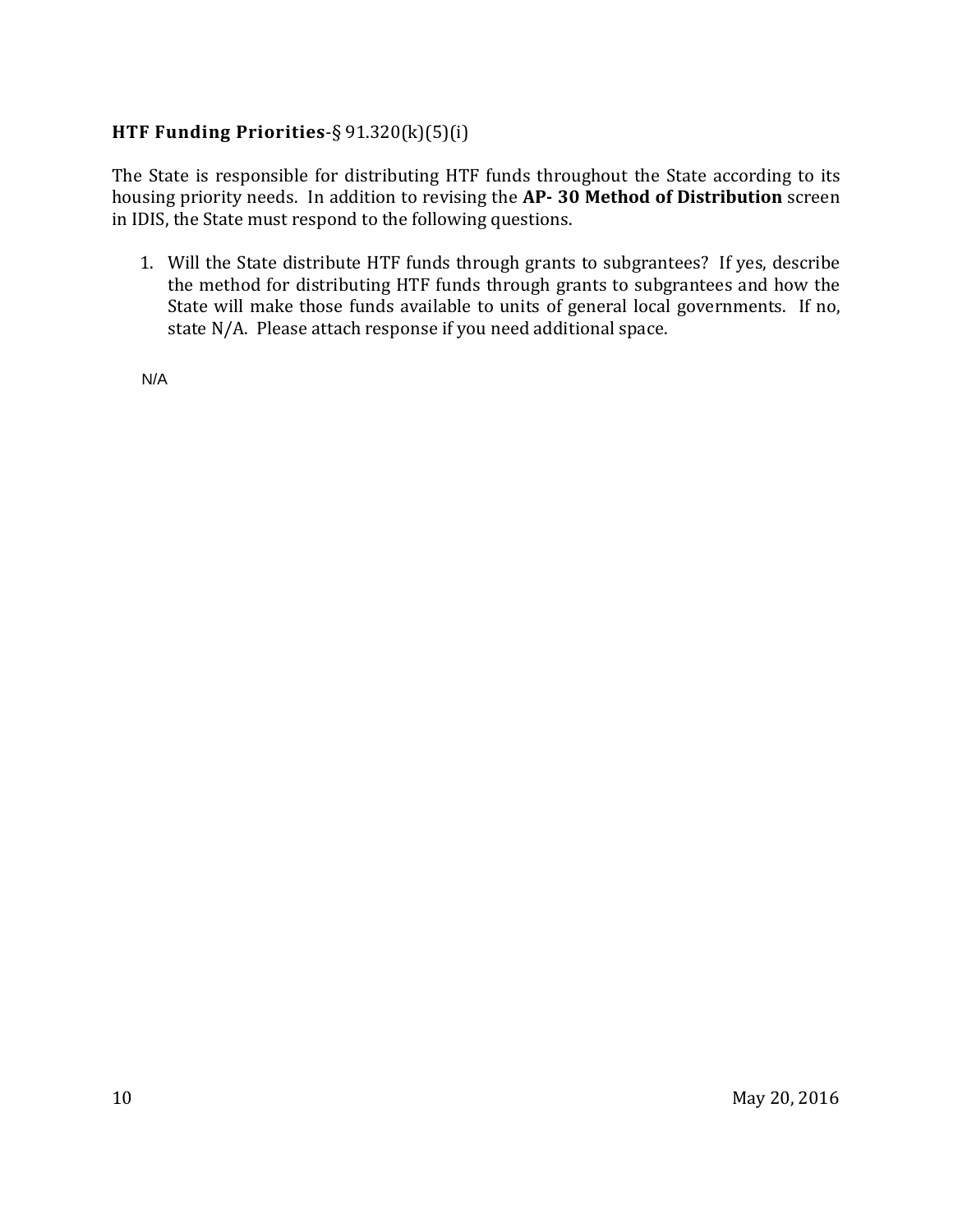# **HTF Funding Priorities**-§ 91.320(k)(5)(i)

The State is responsible for distributing HTF funds throughout the State according to its housing priority needs. In addition to revising the **AP- 30 Method of Distribution** screen in IDIS, the State must respond to the following questions.

1. Will the State distribute HTF funds through grants to subgrantees? If yes, describe the method for distributing HTF funds through grants to subgrantees and how the State will make those funds available to units of general local governments. If no, state N/A. Please attach response if you need additional space.

N/A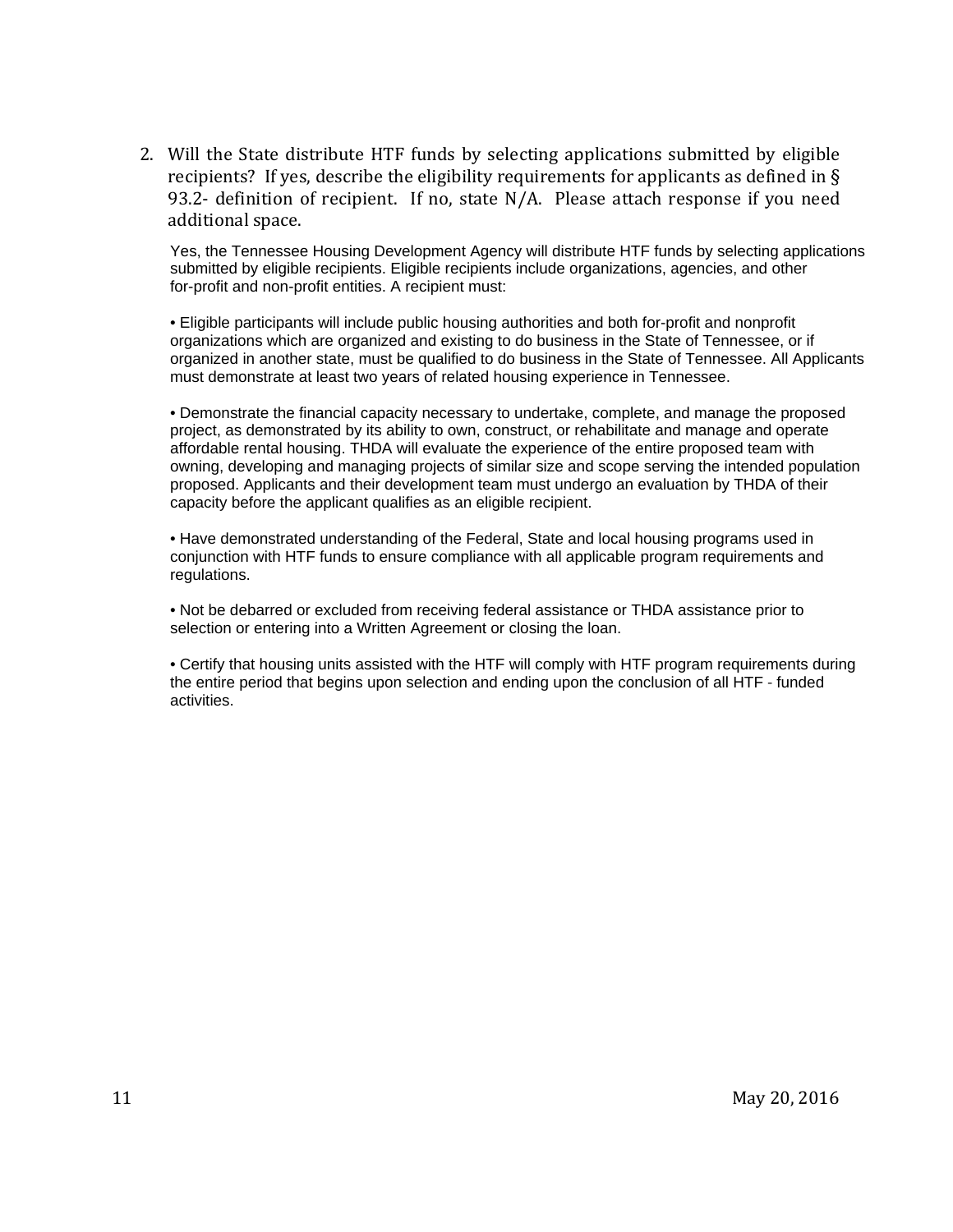2. Will the State distribute HTF funds by selecting applications submitted by eligible recipients? If yes, describe the eligibility requirements for applicants as defined in § 93.2- definition of recipient. If no, state N/A. Please attach response if you need additional space.

Yes, the Tennessee Housing Development Agency will distribute HTF funds by selecting applications submitted by eligible recipients. Eligible recipients include organizations, agencies, and other for-profit and non-profit entities. A recipient must:

• Eligible participants will include public housing authorities and both for-profit and nonprofit organizations which are organized and existing to do business in the State of Tennessee, or if organized in another state, must be qualified to do business in the State of Tennessee. All Applicants must demonstrate at least two years of related housing experience in Tennessee.

• Demonstrate the financial capacity necessary to undertake, complete, and manage the proposed project, as demonstrated by its ability to own, construct, or rehabilitate and manage and operate affordable rental housing. THDA will evaluate the experience of the entire proposed team with owning, developing and managing projects of similar size and scope serving the intended population proposed. Applicants and their development team must undergo an evaluation by THDA of their capacity before the applicant qualifies as an eligible recipient.

• Have demonstrated understanding of the Federal, State and local housing programs used in conjunction with HTF funds to ensure compliance with all applicable program requirements and regulations.

• Not be debarred or excluded from receiving federal assistance or THDA assistance prior to selection or entering into a Written Agreement or closing the loan.

• Certify that housing units assisted with the HTF will comply with HTF program requirements during the entire period that begins upon selection and ending upon the conclusion of all HTF ‐ funded activities.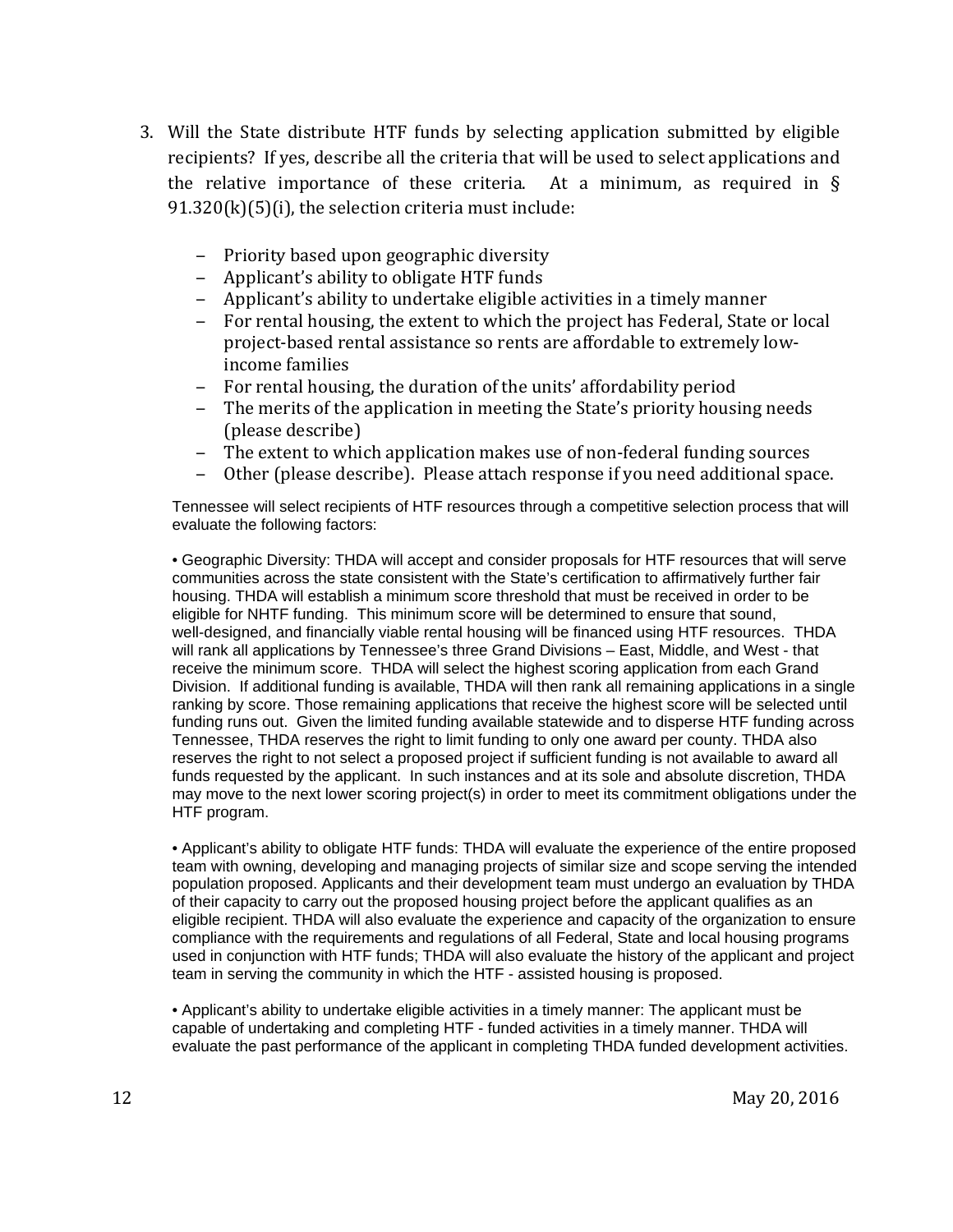- 3. Will the State distribute HTF funds by selecting application submitted by eligible recipients? If yes, describe all the criteria that will be used to select applications and the relative importance of these criteria. At a minimum, as required in  $\S$  $91.320(k)(5)(i)$ , the selection criteria must include:
	- ‒ Priority based upon geographic diversity
	- ‒ Applicant's ability to obligate HTF funds
	- ‒ Applicant's ability to undertake eligible activities in a timely manner
	- ‒ For rental housing, the extent to which the project has Federal, State or local project-based rental assistance so rents are affordable to extremely lowincome families
	- For rental housing, the duration of the units' affordability period<br>– The merits of the annlication in meeting the State's priority housi
	- ‒ The merits of the application in meeting the State's priority housing needs (please describe)
	- The extent to which application makes use of non-federal funding sources
	- ‒ Other (please describe). Please attach response if you need additional space.

Tennessee will select recipients of HTF resources through a competitive selection process that will evaluate the following factors:

• Geographic Diversity: THDA will accept and consider proposals for HTF resources that will serve communities across the state consistent with the State's certification to affirmatively further fair housing. THDA will establish a minimum score threshold that must be received in order to be eligible for NHTF funding. This minimum score will be determined to ensure that sound, well-designed, and financially viable rental housing will be financed using HTF resources. THDA will rank all applications by Tennessee's three Grand Divisions – East, Middle, and West - that receive the minimum score. THDA will select the highest scoring application from each Grand Division. If additional funding is available, THDA will then rank all remaining applications in a single ranking by score. Those remaining applications that receive the highest score will be selected until funding runs out. Given the limited funding available statewide and to disperse HTF funding across Tennessee, THDA reserves the right to limit funding to only one award per county. THDA also reserves the right to not select a proposed project if sufficient funding is not available to award all funds requested by the applicant. In such instances and at its sole and absolute discretion, THDA may move to the next lower scoring project(s) in order to meet its commitment obligations under the HTF program.

• Applicant's ability to obligate HTF funds: THDA will evaluate the experience of the entire proposed team with owning, developing and managing projects of similar size and scope serving the intended population proposed. Applicants and their development team must undergo an evaluation by THDA of their capacity to carry out the proposed housing project before the applicant qualifies as an eligible recipient. THDA will also evaluate the experience and capacity of the organization to ensure compliance with the requirements and regulations of all Federal, State and local housing programs used in conjunction with HTF funds; THDA will also evaluate the history of the applicant and project team in serving the community in which the HTF - assisted housing is proposed.

• Applicant's ability to undertake eligible activities in a timely manner: The applicant must be capable of undertaking and completing HTF - funded activities in a timely manner. THDA will evaluate the past performance of the applicant in completing THDA funded development activities.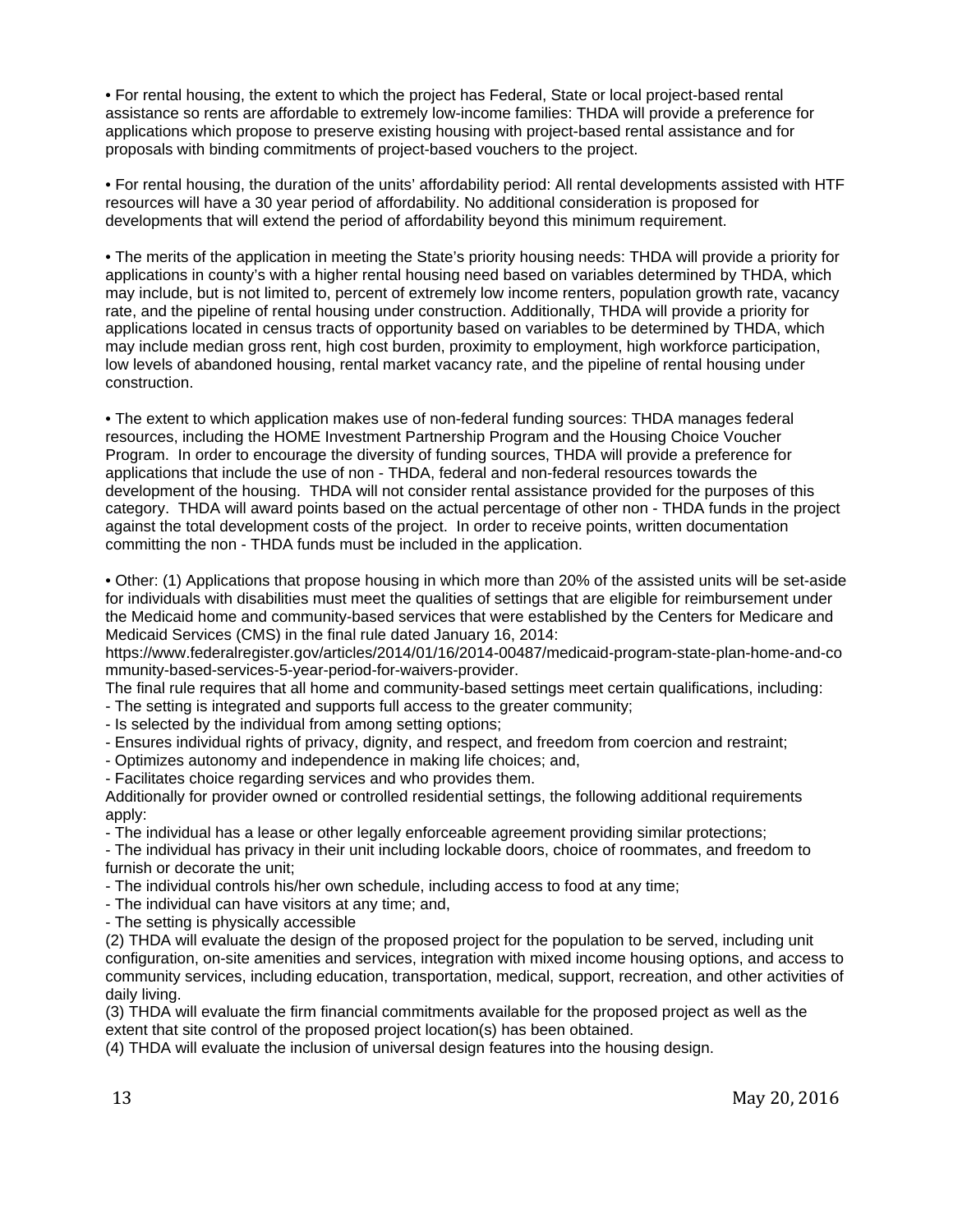<span id="page-12-0"></span>• For rental housing, the extent to which the project has Federal, State or local project-based rental assistance so rents are affordable to extremely low-income families: THDA will provide a preference for applications which propose to preserve existing housing with project-based rental assistance and for proposals with binding commitments of project-based vouchers to the project.

• For rental housing, the duration of the units' affordability period: All rental developments assisted with HTF resources will have a 30 year period of affordability. No additional consideration is proposed for developments that will extend the period of affordability beyond this minimum requirement.

• The merits of the application in meeting the State's priority housing needs: THDA will provide a priority for applications in county's with a higher rental housing need based on variables determined by THDA, which may include, but is not limited to, percent of extremely low income renters, population growth rate, vacancy rate, and the pipeline of rental housing under construction. Additionally, THDA will provide a priority for applications located in census tracts of opportunity based on variables to be determined by THDA, which may include median gross rent, high cost burden, proximity to employment, high workforce participation, low levels of abandoned housing, rental market vacancy rate, and the pipeline of rental housing under construction.

• The extent to which application makes use of non-federal funding sources: THDA manages federal resources, including the HOME Investment Partnership Program and the Housing Choice Voucher Program. In order to encourage the diversity of funding sources, THDA will provide a preference for applications that include the use of non - THDA, federal and non-federal resources towards the development of the housing. THDA will not consider rental assistance provided for the purposes of this category. THDA will award points based on the actual percentage of other non - THDA funds in the project against the total development costs of the project. In order to receive points, written documentation committing the non - THDA funds must be included in the application.

• Other: (1) Applications that propose housing in which more than 20% of the assisted units will be set-aside for individuals with disabilities must meet the qualities of settings that are eligible for reimbursement under the Medicaid home and community-based services that were established by the Centers for Medicare and Medicaid Services (CMS) in the final rule dated January 16, 2014:

https://www.federalregister.gov/articles/2014/01/16/2014-00487/medicaid-program-state-plan-home-and-co mmunity-based-services-5-year-period-for-waivers-provider.

The final rule requires that all home and community-based settings meet certain qualifications, including:

- The setting is integrated and supports full access to the greater community;

- Is selected by the individual from among setting options;

- Ensures individual rights of privacy, dignity, and respect, and freedom from coercion and restraint;

- Optimizes autonomy and independence in making life choices; and,

- Facilitates choice regarding services and who provides them.

Additionally for provider owned or controlled residential settings, the following additional requirements apply:

- The individual has a lease or other legally enforceable agreement providing similar protections;

- The individual has privacy in their unit including lockable doors, choice of roommates, and freedom to furnish or decorate the unit;

- The individual controls his/her own schedule, including access to food at any time;

- The individual can have visitors at any time; and,

- The setting is physically accessible

(2) THDA will evaluate the design of the proposed project for the population to be served, including unit configuration, on-site amenities and services, integration with mixed income housing options, and access to community services, including education, transportation, medical, support, recreation, and other activities of daily living.

(3) THDA will evaluate the firm financial commitments available for the proposed project as well as the extent that site control of the proposed project location(s) has been obtained.

(4) THDA will evaluate the inclusion of universal design features into the housing design.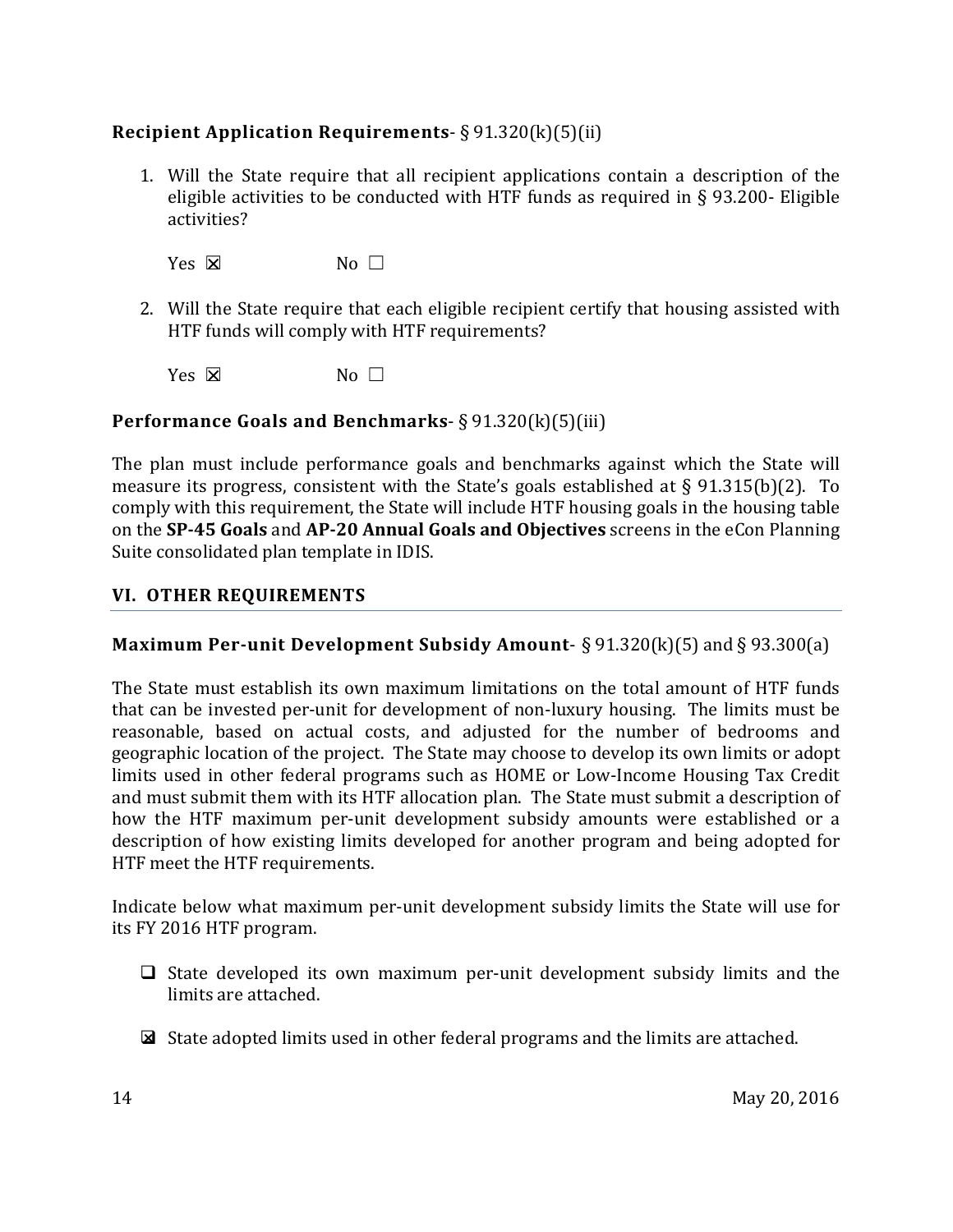# **Recipient Application Requirements**- § 91.320(k)(5)(ii)

1. Will the State require that all recipient applications contain a description of the eligible activities to be conducted with HTF funds as required in § 93.200- Eligible activities?

Yes  $\boxtimes$  No  $\Box$ 

2. Will the State require that each eligible recipient certify that housing assisted with HTF funds will comply with HTF requirements?

 $Yes \nvert X$  No  $\Box$ 

#### <span id="page-13-0"></span>**Performance Goals and Benchmarks**- § 91.320(k)(5)(iii)

The plan must include performance goals and benchmarks against which the State will measure its progress, consistent with the State's goals established at § 91.315(b)(2). To comply with this requirement, the State will include HTF housing goals in the housing table on the **SP-45 Goals** and **AP-20 Annual Goals and Objectives** screens in the eCon Planning Suite consolidated plan template in IDIS.

#### <span id="page-13-1"></span>**VI. OTHER REQUIREMENTS**

#### <span id="page-13-2"></span>**Maximum Per-unit Development Subsidy Amount-** § 91.320(k)(5) and § 93.300(a)

The State must establish its own maximum limitations on the total amount of HTF funds that can be invested per-unit for development of non-luxury housing. The limits must be reasonable, based on actual costs, and adjusted for the number of bedrooms and geographic location of the project. The State may choose to develop its own limits or adopt limits used in other federal programs such as HOME or Low-Income Housing Tax Credit and must submit them with its HTF allocation plan. The State must submit a description of how the HTF maximum per-unit development subsidy amounts were established or a description of how existing limits developed for another program and being adopted for HTF meet the HTF requirements.

Indicate below what maximum per-unit development subsidy limits the State will use for its FY 2016 HTF program.

- $\Box$  State developed its own maximum per-unit development subsidy limits and the limits are attached.
- State adopted limits used in other federal programs and the limits are attached.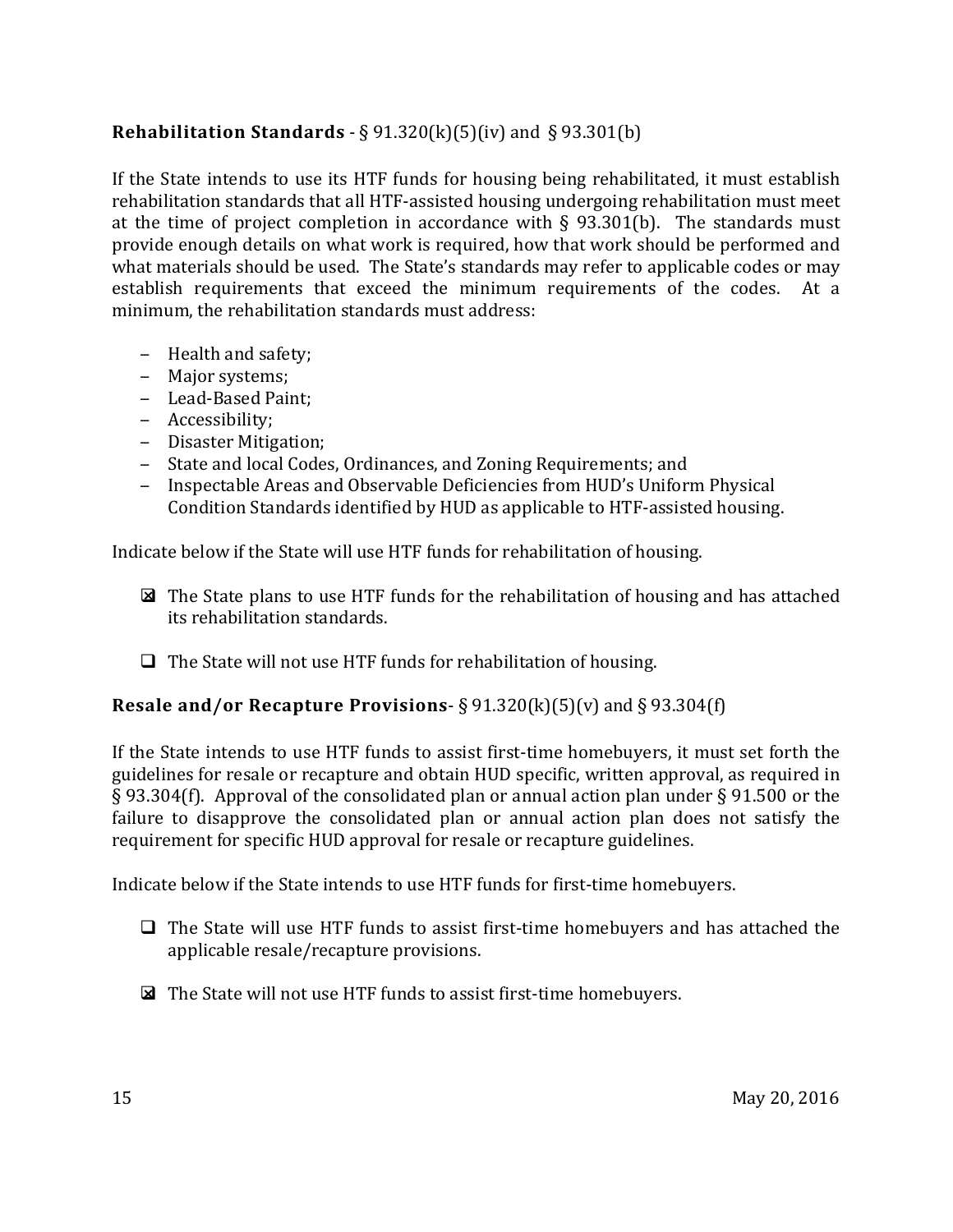# <span id="page-14-0"></span>**Rehabilitation Standards** - § 91.320(k)(5)(iv) and § 93.301(b)

If the State intends to use its HTF funds for housing being rehabilitated, it must establish rehabilitation standards that all HTF-assisted housing undergoing rehabilitation must meet at the time of project completion in accordance with  $\S$  93.301(b). The standards must provide enough details on what work is required, how that work should be performed and what materials should be used. The State's standards may refer to applicable codes or may establish requirements that exceed the minimum requirements of the codes. At a minimum, the rehabilitation standards must address:

- ‒ Health and safety;
- ‒ Major systems;
- ‒ Lead-Based Paint;
- ‒ Accessibility;
- ‒ Disaster Mitigation;
- ‒ State and local Codes, Ordinances, and Zoning Requirements; and
- ‒ Inspectable Areas and Observable Deficiencies from HUD's Uniform Physical Condition Standards identified by HUD as applicable to HTF-assisted housing.

Indicate below if the State will use HTF funds for rehabilitation of housing.

- The State plans to use HTF funds for the rehabilitation of housing and has attached its rehabilitation standards.
- $\Box$  The State will not use HTF funds for rehabilitation of housing.

#### <span id="page-14-1"></span>**Resale and/or Recapture Provisions**- § 91.320(k)(5)(v) and § 93.304(f)

If the State intends to use HTF funds to assist first-time homebuyers, it must set forth the guidelines for resale or recapture and obtain HUD specific, written approval, as required in § 93.304(f). Approval of the consolidated plan or annual action plan under § 91.500 or the failure to disapprove the consolidated plan or annual action plan does not satisfy the requirement for specific HUD approval for resale or recapture guidelines.

Indicate below if the State intends to use HTF funds for first-time homebuyers.

- $\Box$  The State will use HTF funds to assist first-time homebuyers and has attached the applicable resale/recapture provisions.
- The State will not use HTF funds to assist first-time homebuyers.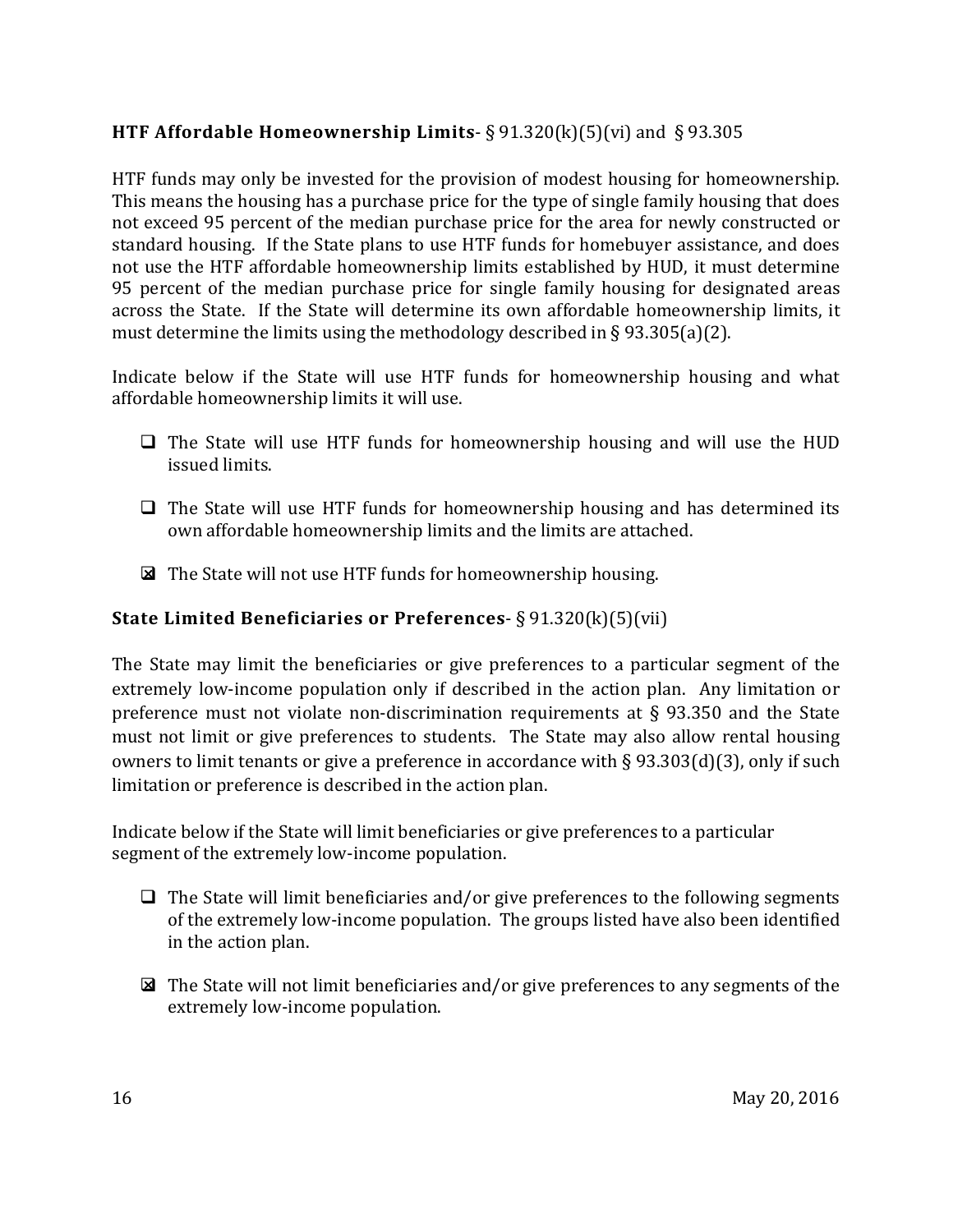# <span id="page-15-0"></span>**HTF Affordable Homeownership Limits**- § 91.320(k)(5)(vi) and § 93.305

HTF funds may only be invested for the provision of modest housing for homeownership. This means the housing has a purchase price for the type of single family housing that does not exceed 95 percent of the median purchase price for the area for newly constructed or standard housing. If the State plans to use HTF funds for homebuyer assistance, and does not use the HTF affordable homeownership limits established by HUD, it must determine 95 percent of the median purchase price for single family housing for designated areas across the State. If the State will determine its own affordable homeownership limits, it must determine the limits using the methodology described in § 93.305(a)(2).

Indicate below if the State will use HTF funds for homeownership housing and what affordable homeownership limits it will use.

- $\Box$  The State will use HTF funds for homeownership housing and will use the HUD issued limits.
- $\Box$  The State will use HTF funds for homeownership housing and has determined its own affordable homeownership limits and the limits are attached.
- The State will not use HTF funds for homeownership housing.

#### <span id="page-15-1"></span>**State Limited Beneficiaries or Preferences**- § 91.320(k)(5)(vii)

The State may limit the beneficiaries or give preferences to a particular segment of the extremely low-income population only if described in the action plan. Any limitation or preference must not violate non-discrimination requirements at § 93.350 and the State must not limit or give preferences to students. The State may also allow rental housing owners to limit tenants or give a preference in accordance with § 93.303(d)(3), only if such limitation or preference is described in the action plan.

Indicate below if the State will limit beneficiaries or give preferences to a particular segment of the extremely low-income population.

- $\Box$  The State will limit beneficiaries and/or give preferences to the following segments of the extremely low-income population. The groups listed have also been identified in the action plan.
- $\boxtimes$  The State will not limit beneficiaries and/or give preferences to any segments of the extremely low-income population.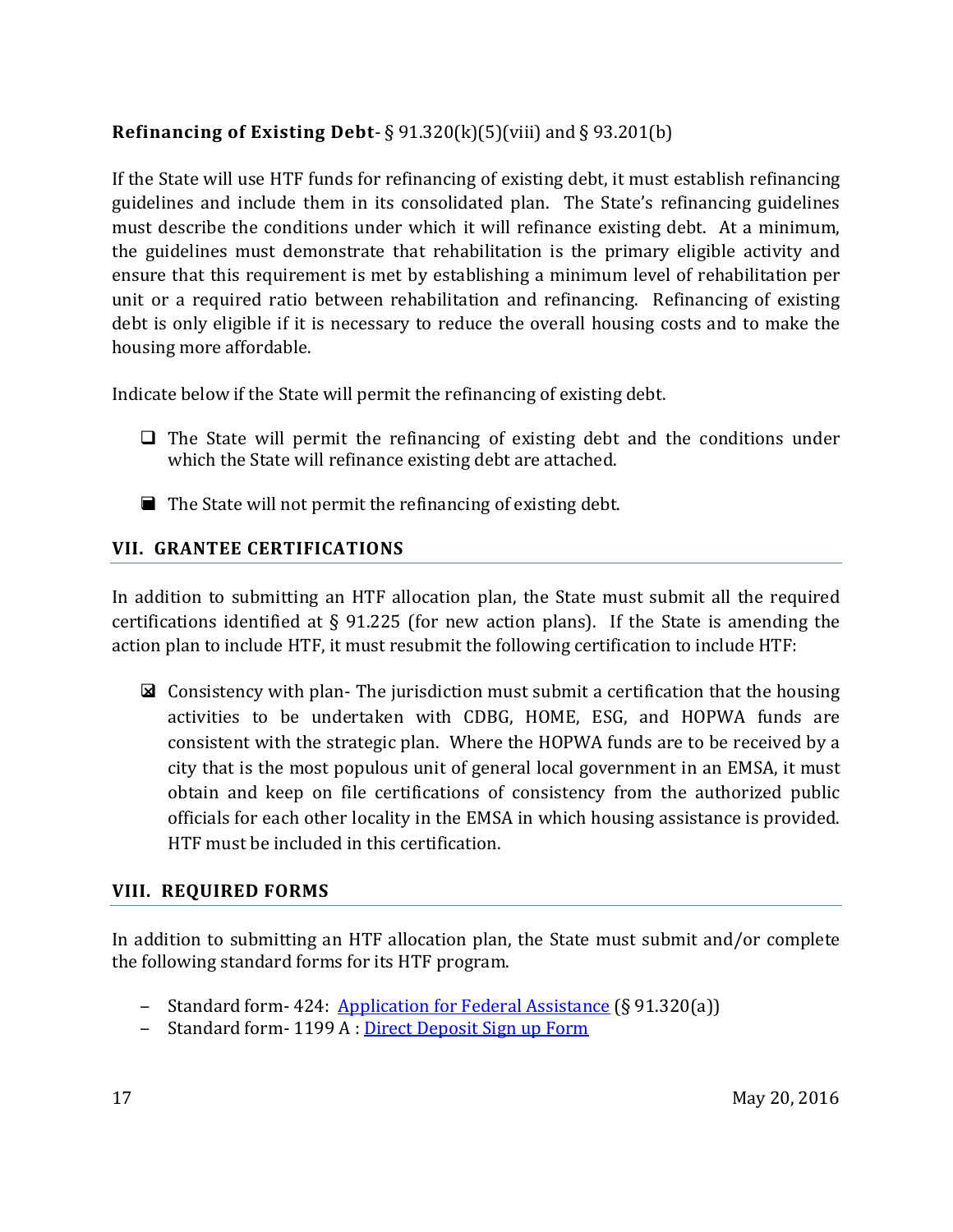# <span id="page-16-0"></span>**Refinancing of Existing Debt-**  $\S 91.320(k)(5)(viii)$  and  $\S 93.201(b)$

If the State will use HTF funds for refinancing of existing debt, it must establish refinancing guidelines and include them in its consolidated plan. The State's refinancing guidelines must describe the conditions under which it will refinance existing debt. At a minimum, the guidelines must demonstrate that rehabilitation is the primary eligible activity and ensure that this requirement is met by establishing a minimum level of rehabilitation per unit or a required ratio between rehabilitation and refinancing. Refinancing of existing debt is only eligible if it is necessary to reduce the overall housing costs and to make the housing more affordable.

Indicate below if the State will permit the refinancing of existing debt.

- $\Box$  The State will permit the refinancing of existing debt and the conditions under which the State will refinance existing debt are attached.
- $\blacksquare$  The State will not permit the refinancing of existing debt.

#### <span id="page-16-1"></span>**VII. GRANTEE CERTIFICATIONS**

In addition to submitting an HTF allocation plan, the State must submit all the required certifications identified at § 91.225 (for new action plans). If the State is amending the action plan to include HTF, it must resubmit the following certification to include HTF:

 $\boxtimes$  Consistency with plan-The jurisdiction must submit a certification that the housing activities to be undertaken with CDBG, HOME, ESG, and HOPWA funds are consistent with the strategic plan. Where the HOPWA funds are to be received by a city that is the most populous unit of general local government in an EMSA, it must obtain and keep on file certifications of consistency from the authorized public officials for each other locality in the EMSA in which housing assistance is provided. HTF must be included in this certification.

#### <span id="page-16-2"></span>**VIII. REQUIRED FORMS**

In addition to submitting an HTF allocation plan, the State must submit and/or complete the following standard forms for its HTF program.

- Standard form-424: [Application for Federal Assistance](https://www.hudexchange.info/resource/306/hud-form-sf424/) (§ 91.320(a))
- Standard form-1199 A : [Direct Deposit Sign up Form](https://www.hudexchange.info/onecpd/assets/File/Congressional-Grants-Direct-Deposit-Form.pdf)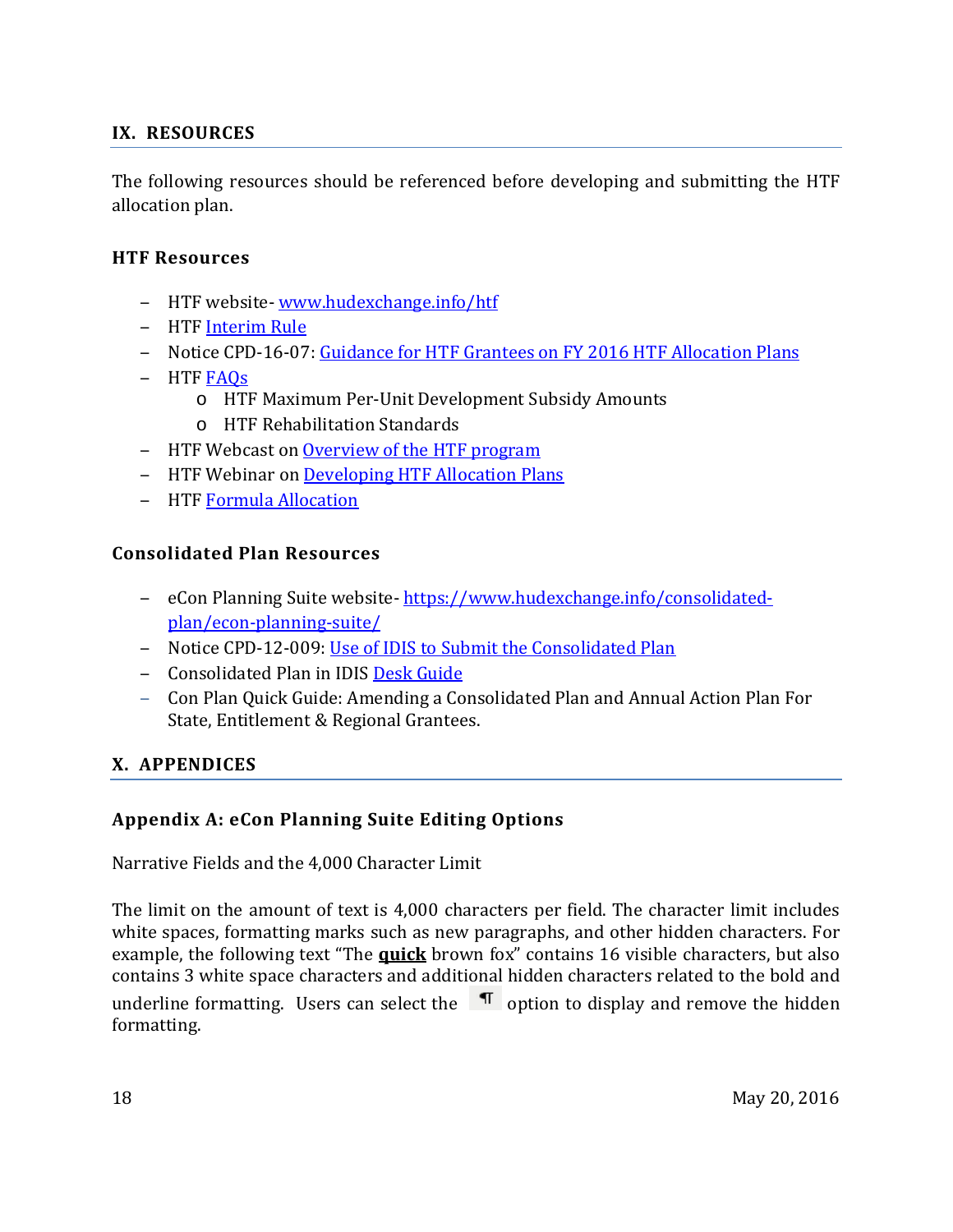### <span id="page-17-0"></span>**IX. RESOURCES**

The following resources should be referenced before developing and submitting the HTF allocation plan.

#### <span id="page-17-1"></span>**HTF Resources**

- ‒ HTF website- [www.hudexchange.info/htf](http://www.hudexchange.info/htf)
- ‒ HTF [Interim Rule](https://www.hudexchange.info/resource/4406/housing-trust-fund-interim-rule/)
- Notice CPD-16-07: [Guidance for HTF Grantees on FY 2016 HTF Allocation Plans](https://www.hudexchange.info/resource/5004/notice-cpd-16-07-guidance-for-htf-grantees-on-fy-2016-htf-allocation-plans/)
- HTF FAOs
	- o HTF Maximum Per-Unit Development Subsidy Amounts
	- o HTF Rehabilitation Standards
- ‒ HTF Webcast o[n Overview of the HTF program](https://www.hudexchange.info/programs/htf/)
- HTF Webinar on Developing HTF Allocation Plans
- HTF Formula Allocation

#### <span id="page-17-2"></span>**Consolidated Plan Resources**

- eCon Planning Suite website-https://www.hudexchange.info/consolidated[plan/econ-planning-suite/](https://www.hudexchange.info/consolidated-plan/econ-planning-suite/)
- Notice CPD-12-009: [Use of IDIS to Submit the Consolidated Plan](https://www.hudexchange.info/resource/2674/notice-cpd-12-009-use-of-idis-to-submit-the-consolidated-plan/)
- Consolidated Plan in IDIS [Desk Guide](https://www.hudexchange.info/resource/2641/econ-planning-suite-desk-guide-idis-conplan-action-plan-caper-per/)
- ‒ Con Plan Quick Guide: Amending a Consolidated Plan and Annual Action Plan For State, Entitlement & Regional Grantees.

#### <span id="page-17-4"></span><span id="page-17-3"></span>**X. APPENDICES**

#### **Appendix A: eCon Planning Suite Editing Options**

Narrative Fields and the 4,000 Character Limit

The limit on the amount of text is 4,000 characters per field. The character limit includes white spaces, formatting marks such as new paragraphs, and other hidden characters. For example, the following text "The **quick** brown fox" contains 16 visible characters, but also contains 3 white space characters and additional hidden characters related to the bold and underline formatting. Users can select the  $\P$  option to display and remove the hidden formatting.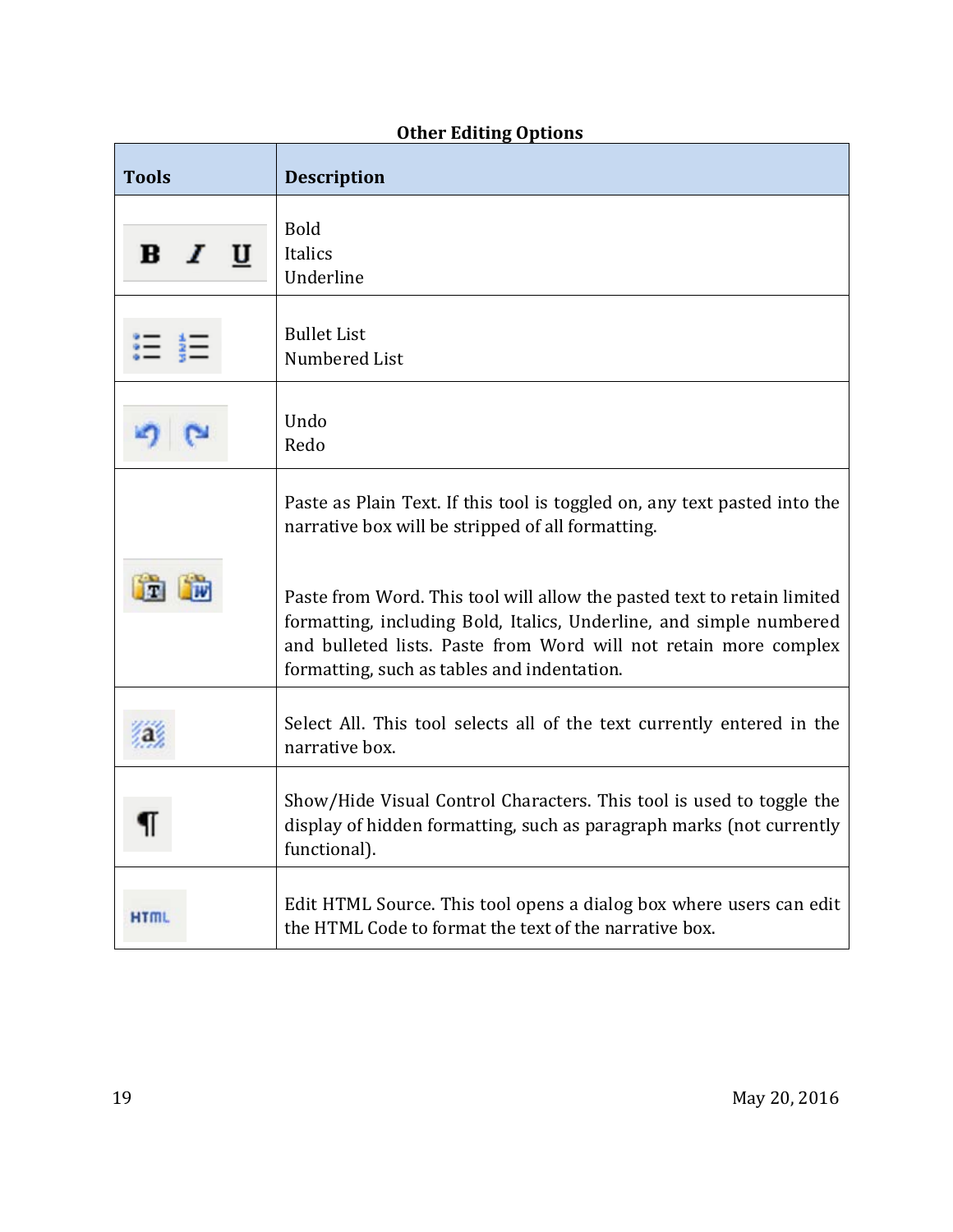| <b>Tools</b>      | <b>Description</b>                                                                                                                                                                                                                                                |
|-------------------|-------------------------------------------------------------------------------------------------------------------------------------------------------------------------------------------------------------------------------------------------------------------|
| $\bf{B}$<br>$I$ U | <b>Bold</b><br>Italics<br>Underline                                                                                                                                                                                                                               |
|                   | <b>Bullet List</b><br>Numbered List                                                                                                                                                                                                                               |
|                   | Undo<br>Redo                                                                                                                                                                                                                                                      |
|                   | Paste as Plain Text. If this tool is toggled on, any text pasted into the<br>narrative box will be stripped of all formatting.                                                                                                                                    |
|                   | Paste from Word. This tool will allow the pasted text to retain limited<br>formatting, including Bold, Italics, Underline, and simple numbered<br>and bulleted lists. Paste from Word will not retain more complex<br>formatting, such as tables and indentation. |
|                   | Select All. This tool selects all of the text currently entered in the<br>narrative box.                                                                                                                                                                          |
|                   | Show/Hide Visual Control Characters. This tool is used to toggle the<br>display of hidden formatting, such as paragraph marks (not currently<br>functional).                                                                                                      |
| HTML              | Edit HTML Source. This tool opens a dialog box where users can edit<br>the HTML Code to format the text of the narrative box.                                                                                                                                     |

# **Other Editing Options**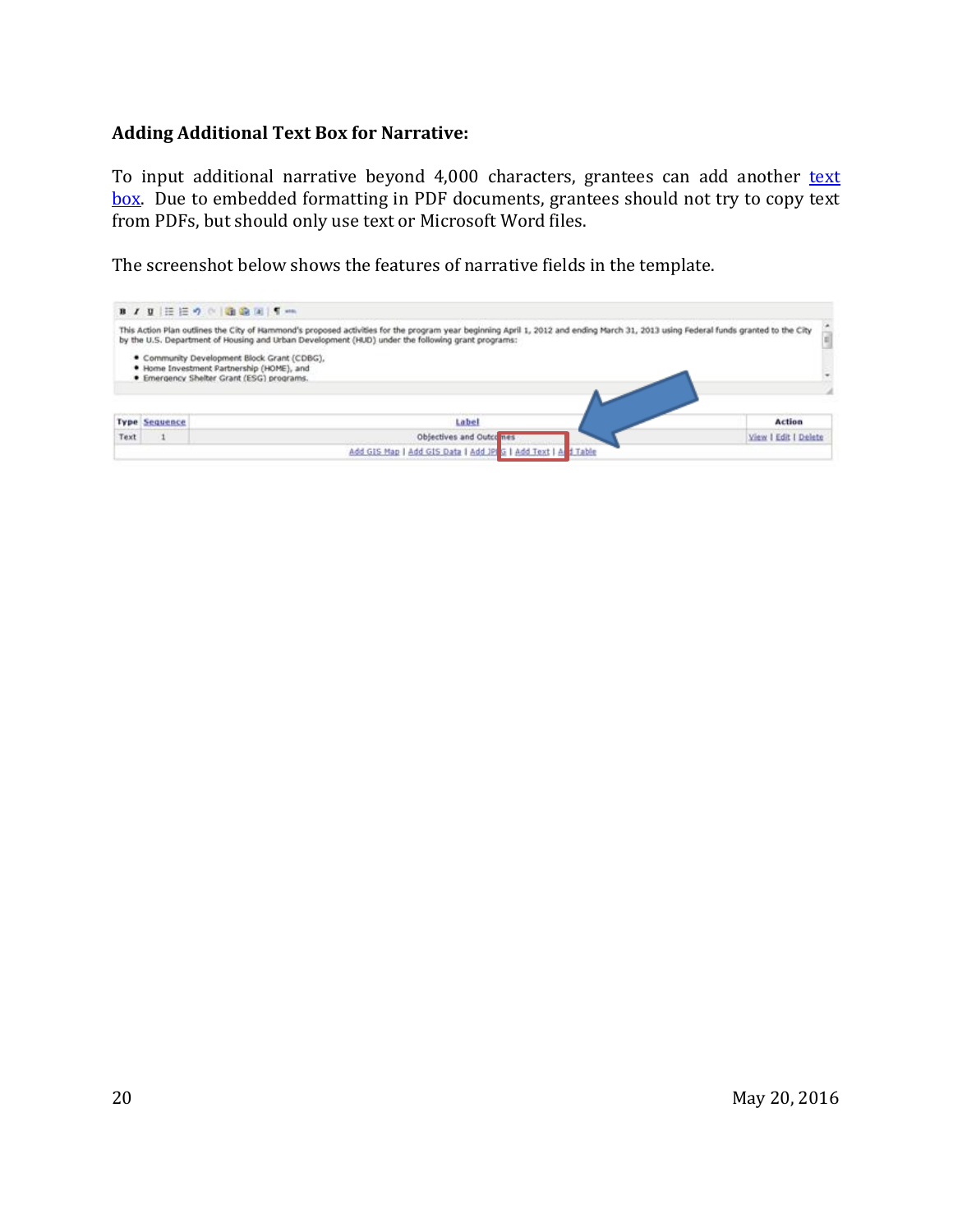#### **Adding Additional Text Box for Narrative:**

To input additional narrative beyond 4,000 characters, grantees can add another text box. Due to embedded formatting in PDF documents, grantees should not try to copy text from PDFs, but should only use text or Microsoft Word files.

The screenshot below shows the features of narrative fields in the template.

|      |                      | B / B 注注の ( ) 通過回 5mm                                                                                                                                                                                                                                                                   |  |
|------|----------------------|-----------------------------------------------------------------------------------------------------------------------------------------------------------------------------------------------------------------------------------------------------------------------------------------|--|
|      |                      | This Action Plan outlines the City of Hammond's proposed activities for the program year beginning April 1, 2012 and ending March 31, 2013 using Federal funds granted to the City<br>by the U.S. Department of Housing and Urban Development (HUD) under the following grant programs: |  |
|      |                      | · Community Development Block Grant (CDBG),<br>. Home Investment Partnership (HOME), and<br>. Emergency Shelter Grant (ESG) programs.                                                                                                                                                   |  |
|      |                      |                                                                                                                                                                                                                                                                                         |  |
|      | <b>Type Sequence</b> | Label<br>Action                                                                                                                                                                                                                                                                         |  |
| Text |                      | Objectives and Outcomes<br>View I Edit I Delete                                                                                                                                                                                                                                         |  |
|      |                      | Add GIS Map   Add GIS Data   Add JP G   Add Text   A d Table                                                                                                                                                                                                                            |  |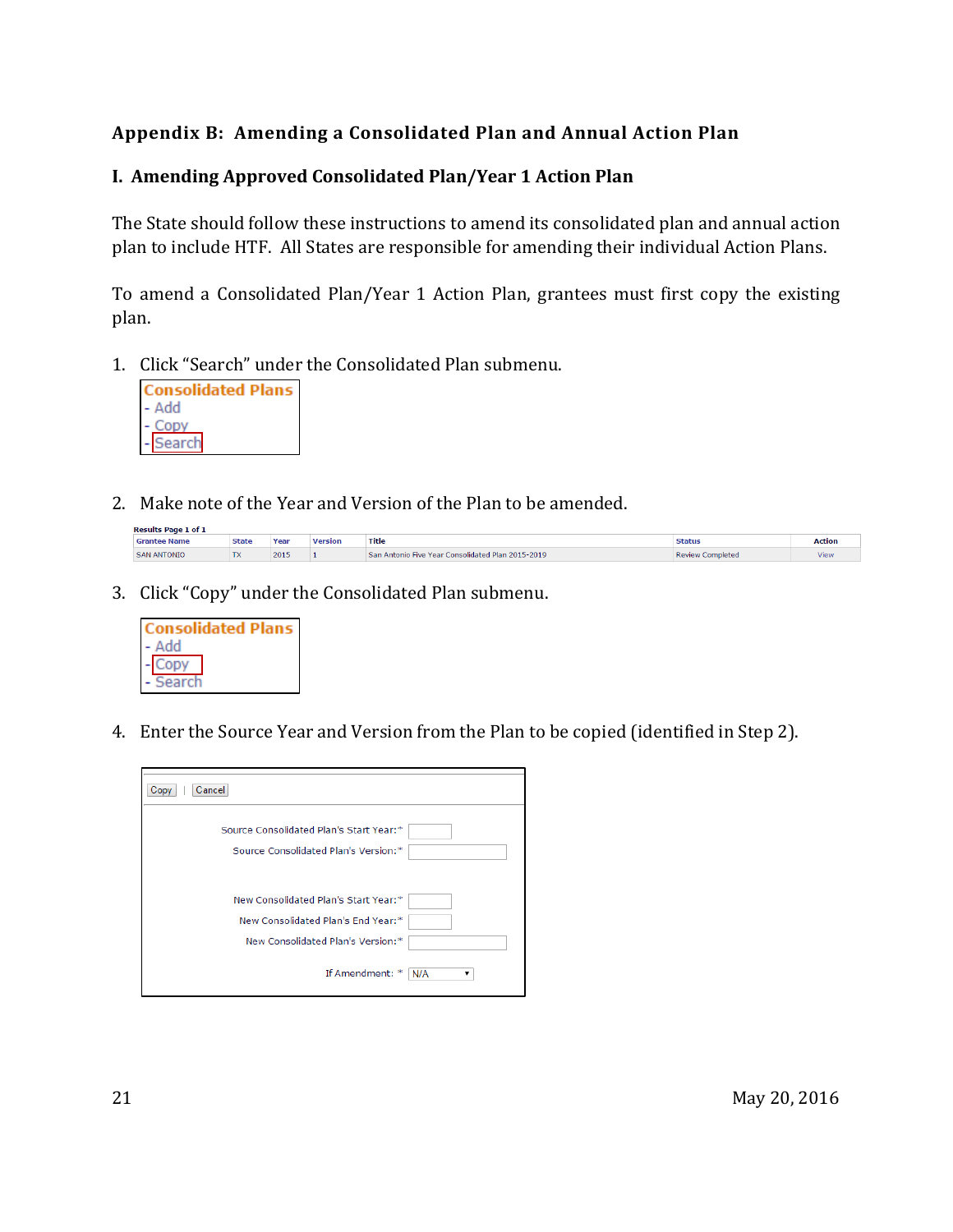## <span id="page-20-0"></span>**Appendix B: Amending a Consolidated Plan and Annual Action Plan**

#### **I. Amending Approved Consolidated Plan/Year 1 Action Plan**

The State should follow these instructions to amend its consolidated plan and annual action plan to include HTF. All States are responsible for amending their individual Action Plans.

To amend a Consolidated Plan/Year 1 Action Plan, grantees must first copy the existing plan.

1. Click "Search" under the Consolidated Plan submenu.



2. Make note of the Year and Version of the Plan to be amended.

| <b>Results Page 1 of 1</b> |              |      |         |                                                   |                         |             |
|----------------------------|--------------|------|---------|---------------------------------------------------|-------------------------|-------------|
| 'Grantee Name              | <b>State</b> | Year | Version | Title                                             | <b>Status</b>           | Action      |
| <b>SAN ANTONIO</b>         | en verken.   | 2015 |         | San Antonio Five Year Consolidated Plan 2015-2019 | <b>Review Completed</b> | <b>View</b> |

3. Click "Copy" under the Consolidated Plan submenu.



4. Enter the Source Year and Version from the Plan to be copied (identified in Step 2).

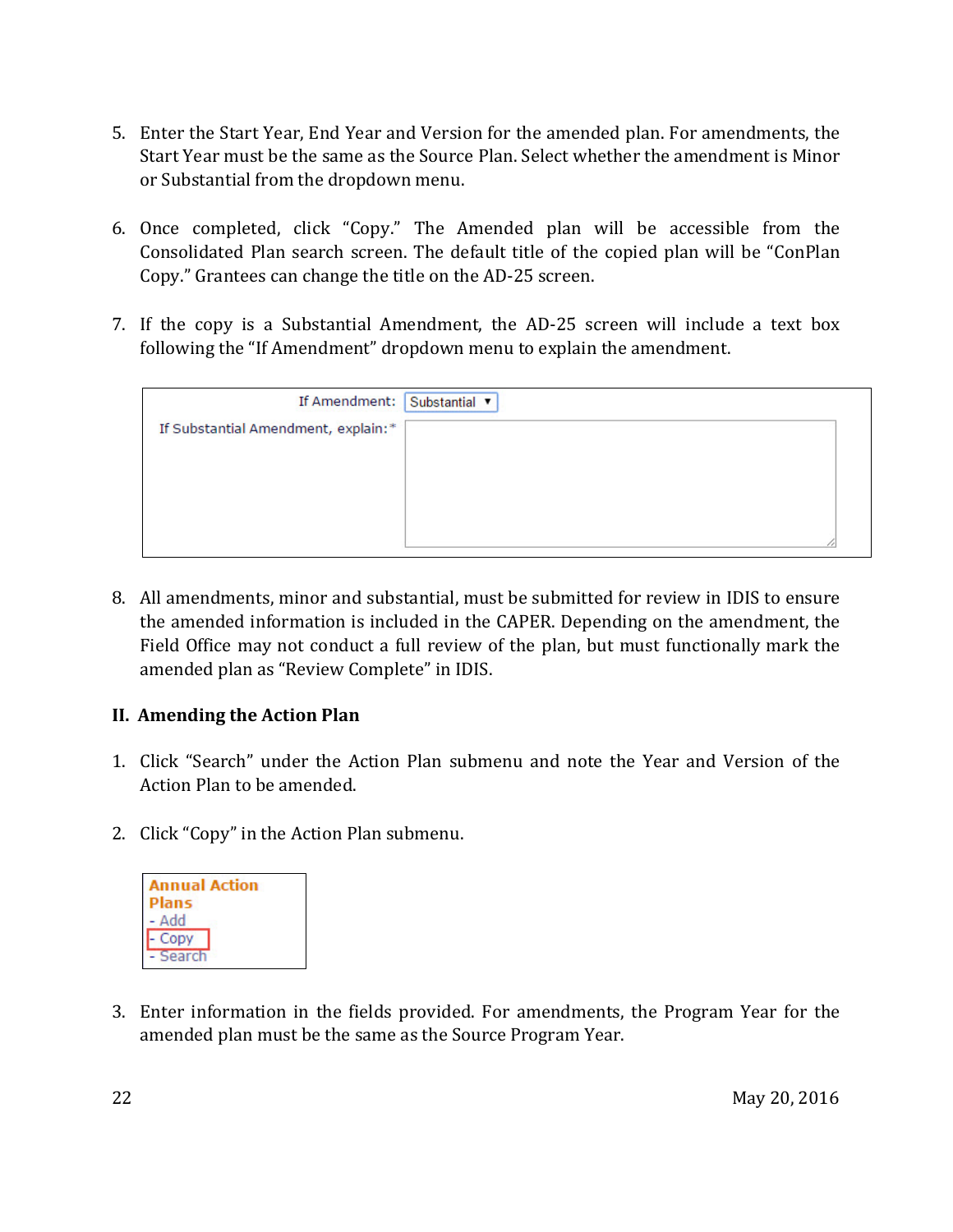- 5. Enter the Start Year, End Year and Version for the amended plan. For amendments, the Start Year must be the same as the Source Plan. Select whether the amendment is Minor or Substantial from the dropdown menu.
- 6. Once completed, click "Copy." The Amended plan will be accessible from the Consolidated Plan search screen. The default title of the copied plan will be "ConPlan Copy." Grantees can change the title on the AD-25 screen.
- 7. If the copy is a Substantial Amendment, the AD-25 screen will include a text box following the "If Amendment" dropdown menu to explain the amendment.

| If Amendment: Substantial ▼         |  |
|-------------------------------------|--|
| If Substantial Amendment, explain:* |  |
|                                     |  |
|                                     |  |
|                                     |  |
|                                     |  |

8. All amendments, minor and substantial, must be submitted for review in IDIS to ensure the amended information is included in the CAPER. Depending on the amendment, the Field Office may not conduct a full review of the plan, but must functionally mark the amended plan as "Review Complete" in IDIS.

#### **II. Amending the Action Plan**

- 1. Click "Search" under the Action Plan submenu and note the Year and Version of the Action Plan to be amended.
- 2. Click "Copy" in the Action Plan submenu.



3. Enter information in the fields provided. For amendments, the Program Year for the amended plan must be the same as the Source Program Year.